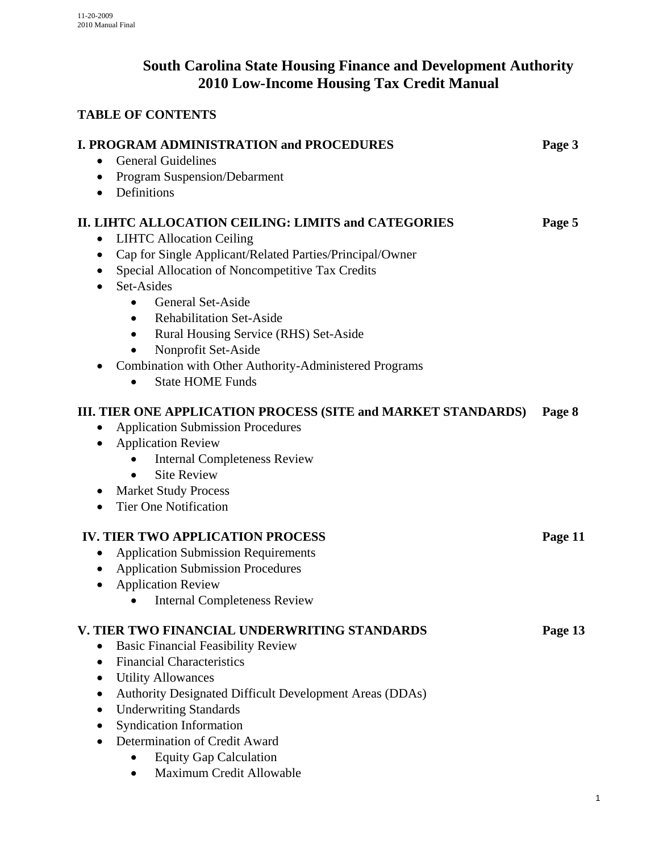# **South Carolina State Housing Finance and Development Authority 2010 Low-Income Housing Tax Credit Manual**

# **TABLE OF CONTENTS**

| <b>I. PROGRAM ADMINISTRATION and PROCEDURES</b><br><b>General Guidelines</b><br>$\bullet$<br>• Program Suspension/Debarment<br>Definitions<br>$\bullet$                                                                                                                                                                                                                                                                                                                                                        | Page 3  |
|----------------------------------------------------------------------------------------------------------------------------------------------------------------------------------------------------------------------------------------------------------------------------------------------------------------------------------------------------------------------------------------------------------------------------------------------------------------------------------------------------------------|---------|
| II. LIHTC ALLOCATION CEILING: LIMITS and CATEGORIES<br><b>LIHTC Allocation Ceiling</b><br>$\bullet$<br>Cap for Single Applicant/Related Parties/Principal/Owner<br>$\bullet$<br>Special Allocation of Noncompetitive Tax Credits<br>Set-Asides<br><b>General Set-Aside</b><br>$\bullet$<br><b>Rehabilitation Set-Aside</b><br>$\bullet$<br>Rural Housing Service (RHS) Set-Aside<br>٠<br>Nonprofit Set-Aside<br>$\bullet$<br>Combination with Other Authority-Administered Programs<br><b>State HOME Funds</b> | Page 5  |
| III. TIER ONE APPLICATION PROCESS (SITE and MARKET STANDARDS)<br><b>Application Submission Procedures</b><br><b>Application Review</b><br>$\bullet$<br><b>Internal Completeness Review</b><br><b>Site Review</b><br><b>Market Study Process</b><br><b>Tier One Notification</b>                                                                                                                                                                                                                                | Page 8  |
| <b>IV. TIER TWO APPLICATION PROCESS</b><br><b>Application Submission Requirements</b><br><b>Application Submission Procedures</b><br><b>Application Review</b><br>$\bullet$<br><b>Internal Completeness Review</b><br>$\bullet$                                                                                                                                                                                                                                                                                | Page 11 |
| V. TIER TWO FINANCIAL UNDERWRITING STANDARDS<br><b>Basic Financial Feasibility Review</b><br><b>Financial Characteristics</b><br>$\bullet$<br><b>Utility Allowances</b><br>Authority Designated Difficult Development Areas (DDAs)<br><b>Underwriting Standards</b><br><b>Syndication Information</b><br>$\bullet$<br>Determination of Credit Award<br><b>Equity Gap Calculation</b><br>Maximum Credit Allowable                                                                                               | Page 13 |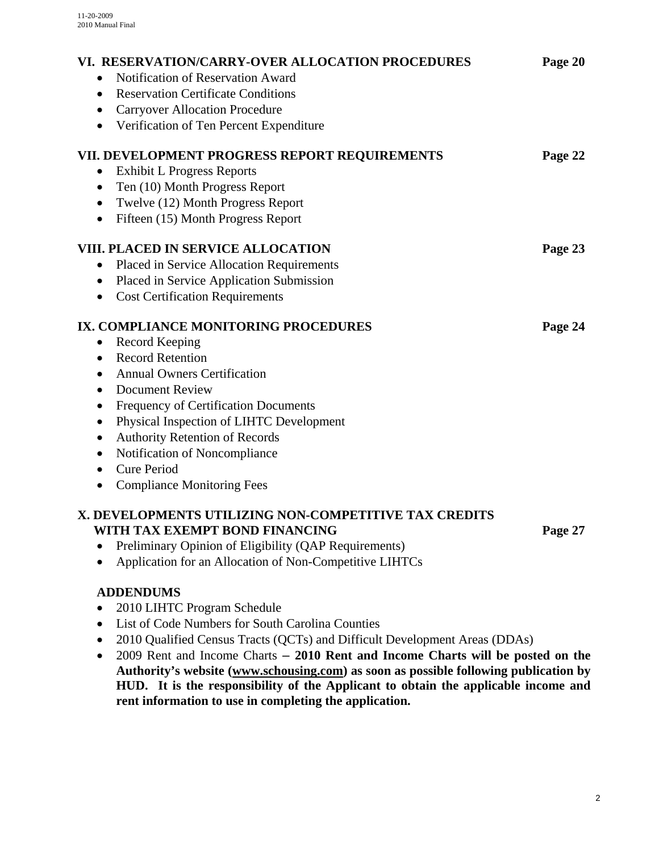| VI. RESERVATION/CARRY-OVER ALLOCATION PROCEDURES<br>Notification of Reservation Award<br>$\bullet$<br><b>Reservation Certificate Conditions</b><br>٠<br><b>Carryover Allocation Procedure</b><br>$\bullet$<br>Verification of Ten Percent Expenditure<br>$\bullet$ | Page 20 |
|--------------------------------------------------------------------------------------------------------------------------------------------------------------------------------------------------------------------------------------------------------------------|---------|
| VII. DEVELOPMENT PROGRESS REPORT REQUIREMENTS                                                                                                                                                                                                                      | Page 22 |
| <b>Exhibit L Progress Reports</b><br>$\bullet$                                                                                                                                                                                                                     |         |
| Ten (10) Month Progress Report<br>$\bullet$                                                                                                                                                                                                                        |         |
| Twelve (12) Month Progress Report<br>$\bullet$                                                                                                                                                                                                                     |         |
| Fifteen (15) Month Progress Report<br>$\bullet$                                                                                                                                                                                                                    |         |
| <b>VIII. PLACED IN SERVICE ALLOCATION</b>                                                                                                                                                                                                                          | Page 23 |
| Placed in Service Allocation Requirements                                                                                                                                                                                                                          |         |
| Placed in Service Application Submission<br>$\bullet$                                                                                                                                                                                                              |         |
| <b>Cost Certification Requirements</b><br>$\bullet$                                                                                                                                                                                                                |         |
|                                                                                                                                                                                                                                                                    |         |
| IX. COMPLIANCE MONITORING PROCEDURES                                                                                                                                                                                                                               | Page 24 |
| <b>Record Keeping</b><br>$\bullet$                                                                                                                                                                                                                                 |         |
| <b>Record Retention</b><br>$\bullet$                                                                                                                                                                                                                               |         |
| <b>Annual Owners Certification</b><br>$\bullet$                                                                                                                                                                                                                    |         |
| <b>Document Review</b><br>$\bullet$                                                                                                                                                                                                                                |         |
| Frequency of Certification Documents<br>$\bullet$                                                                                                                                                                                                                  |         |
| Physical Inspection of LIHTC Development<br>$\bullet$                                                                                                                                                                                                              |         |
| $\bullet$                                                                                                                                                                                                                                                          |         |
| <b>Authority Retention of Records</b><br>Notification of Noncompliance<br>٠                                                                                                                                                                                        |         |
| <b>Cure Period</b><br>$\bullet$                                                                                                                                                                                                                                    |         |
| <b>Compliance Monitoring Fees</b><br>$\bullet$                                                                                                                                                                                                                     |         |
| X. DEVELOPMENTS UTILIZING NON-COMPETITIVE TAX CREDITS<br>WITH TAX EXEMPT BOND FINANCING                                                                                                                                                                            | Page 27 |
| Preliminary Opinion of Eligibility (QAP Requirements)<br>$\bullet$                                                                                                                                                                                                 |         |

## **ADDENDUMS**

- 2010 LIHTC Program Schedule
- List of Code Numbers for South Carolina Counties
- 2010 Qualified Census Tracts (QCTs) and Difficult Development Areas (DDAs)
- 2009 Rent and Income Charts **2010 Rent and Income Charts will be posted on the Authority's website ([www.schousing.com](http://www.schousing.us/)) as soon as possible following publication by HUD. It is the responsibility of the Applicant to obtain the applicable income and rent information to use in completing the application.**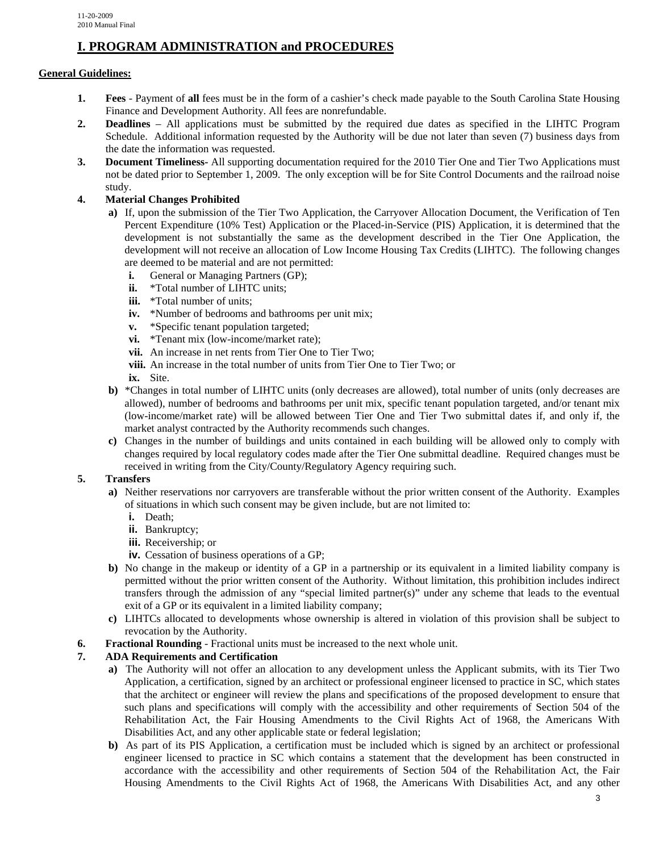## **I. PROGRAM ADMINISTRATION and PROCEDURES**

## **General Guidelines:**

- **1. Fees** Payment of **all** fees must be in the form of a cashier's check made payable to the South Carolina State Housing Finance and Development Authority. All fees are nonrefundable.
- **2. Deadlines** All applications must be submitted by the required due dates as specified in the LIHTC Program Schedule. Additional information requested by the Authority will be due not later than seven (7) business days from the date the information was requested.
- **3. Document Timeliness-** All supporting documentation required for the 2010 Tier One and Tier Two Applications must not be dated prior to September 1, 2009. The only exception will be for Site Control Documents and the railroad noise study.

## **4. Material Changes Prohibited**

- **a)** If, upon the submission of the Tier Two Application, the Carryover Allocation Document, the Verification of Ten Percent Expenditure (10% Test) Application or the Placed-in-Service (PIS) Application, it is determined that the development is not substantially the same as the development described in the Tier One Application, the development will not receive an allocation of Low Income Housing Tax Credits (LIHTC). The following changes are deemed to be material and are not permitted:
	- **i.** General or Managing Partners (GP);
	- **ii.** \*Total number of LIHTC units;
	- **iii.** \*Total number of units;
	- **iv.** \*Number of bedrooms and bathrooms per unit mix;
	- **v.** \*Specific tenant population targeted;
	- **vi.** \*Tenant mix (low-income/market rate);
	- **vii.** An increase in net rents from Tier One to Tier Two;
	- **viii.** An increase in the total number of units from Tier One to Tier Two; or
	- **ix.** Site.
- **b)** \*Changes in total number of LIHTC units (only decreases are allowed), total number of units (only decreases are allowed), number of bedrooms and bathrooms per unit mix, specific tenant population targeted, and/or tenant mix (low-income/market rate) will be allowed between Tier One and Tier Two submittal dates if, and only if, the market analyst contracted by the Authority recommends such changes.
- **c)** Changes in the number of buildings and units contained in each building will be allowed only to comply with changes required by local regulatory codes made after the Tier One submittal deadline. Required changes must be received in writing from the City/County/Regulatory Agency requiring such.

## **5. Transfers**

- **a)** Neither reservations nor carryovers are transferable without the prior written consent of the Authority. Examples of situations in which such consent may be given include, but are not limited to:
	- **i.** Death;
	- **ii.** Bankruptcy;
	- **iii.** Receivership; or
	- **iv.** Cessation of business operations of a GP;
- **b)** No change in the makeup or identity of a GP in a partnership or its equivalent in a limited liability company is permitted without the prior written consent of the Authority. Without limitation, this prohibition includes indirect transfers through the admission of any "special limited partner(s)" under any scheme that leads to the eventual exit of a GP or its equivalent in a limited liability company;
- **c)** LIHTCs allocated to developments whose ownership is altered in violation of this provision shall be subject to revocation by the Authority.
- **6. Fractional Rounding** Fractional units must be increased to the next whole unit.

## **7. ADA Requirements and Certification**

- **a)** The Authority will not offer an allocation to any development unless the Applicant submits, with its Tier Two Application, a certification, signed by an architect or professional engineer licensed to practice in SC, which states that the architect or engineer will review the plans and specifications of the proposed development to ensure that such plans and specifications will comply with the accessibility and other requirements of Section 504 of the Rehabilitation Act, the Fair Housing Amendments to the Civil Rights Act of 1968, the Americans With Disabilities Act, and any other applicable state or federal legislation;
- **b**) As part of its PIS Application, a certification must be included which is signed by an architect or professional engineer licensed to practice in SC which contains a statement that the development has been constructed in accordance with the accessibility and other requirements of Section 504 of the Rehabilitation Act, the Fair Housing Amendments to the Civil Rights Act of 1968, the Americans With Disabilities Act, and any other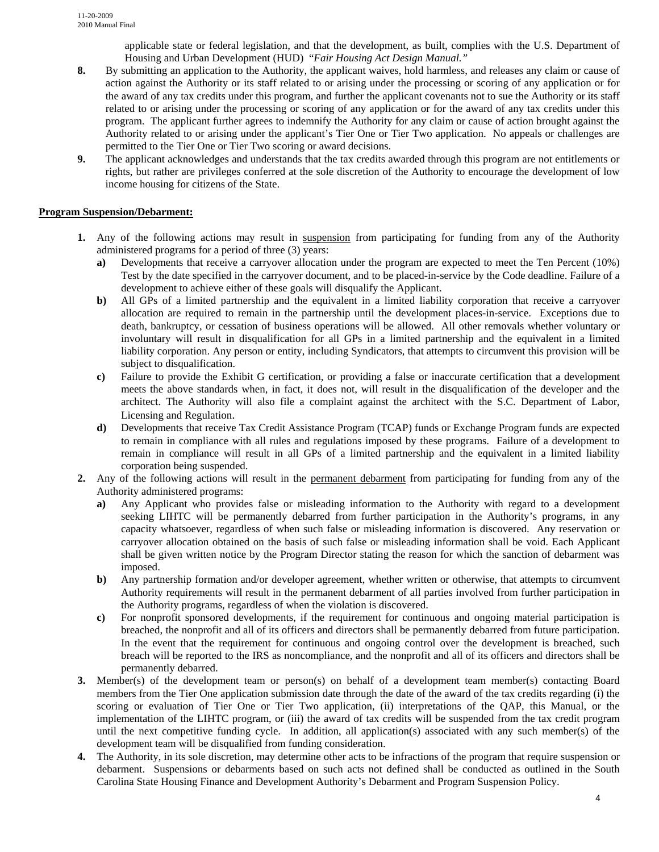applicable state or federal legislation, and that the development, as built, complies with the U.S. Department of Housing and Urban Development (HUD) "*Fair Housing Act Design Manual."*

- **8.** By submitting an application to the Authority, the applicant waives, hold harmless, and releases any claim or cause of action against the Authority or its staff related to or arising under the processing or scoring of any application or for the award of any tax credits under this program, and further the applicant covenants not to sue the Authority or its staff related to or arising under the processing or scoring of any application or for the award of any tax credits under this program. The applicant further agrees to indemnify the Authority for any claim or cause of action brought against the Authority related to or arising under the applicant's Tier One or Tier Two application. No appeals or challenges are permitted to the Tier One or Tier Two scoring or award decisions.
- **9.** The applicant acknowledges and understands that the tax credits awarded through this program are not entitlements or rights, but rather are privileges conferred at the sole discretion of the Authority to encourage the development of low income housing for citizens of the State.

## **Program Suspension/Debarment:**

- **1.** Any of the following actions may result in suspension from participating for funding from any of the Authority administered programs for a period of three (3) years:
	- **a)** Developments that receive a carryover allocation under the program are expected to meet the Ten Percent (10%) Test by the date specified in the carryover document, and to be placed-in-service by the Code deadline. Failure of a development to achieve either of these goals will disqualify the Applicant.
	- **b)** All GPs of a limited partnership and the equivalent in a limited liability corporation that receive a carryover allocation are required to remain in the partnership until the development places-in-service. Exceptions due to death, bankruptcy, or cessation of business operations will be allowed. All other removals whether voluntary or involuntary will result in disqualification for all GPs in a limited partnership and the equivalent in a limited liability corporation. Any person or entity, including Syndicators, that attempts to circumvent this provision will be subject to disqualification.
	- **c)** Failure to provide the Exhibit G certification, or providing a false or inaccurate certification that a development meets the above standards when, in fact, it does not, will result in the disqualification of the developer and the architect. The Authority will also file a complaint against the architect with the S.C. Department of Labor, Licensing and Regulation.
	- **d)** Developments that receive Tax Credit Assistance Program (TCAP) funds or Exchange Program funds are expected to remain in compliance with all rules and regulations imposed by these programs. Failure of a development to remain in compliance will result in all GPs of a limited partnership and the equivalent in a limited liability corporation being suspended.
- **2.** Any of the following actions will result in the permanent debarment from participating for funding from any of the Authority administered programs:
	- **a)** Any Applicant who provides false or misleading information to the Authority with regard to a development seeking LIHTC will be permanently debarred from further participation in the Authority's programs, in any capacity whatsoever, regardless of when such false or misleading information is discovered. Any reservation or carryover allocation obtained on the basis of such false or misleading information shall be void. Each Applicant shall be given written notice by the Program Director stating the reason for which the sanction of debarment was imposed.
	- **b)** Any partnership formation and/or developer agreement, whether written or otherwise, that attempts to circumvent Authority requirements will result in the permanent debarment of all parties involved from further participation in the Authority programs, regardless of when the violation is discovered.
	- **c)** For nonprofit sponsored developments, if the requirement for continuous and ongoing material participation is breached, the nonprofit and all of its officers and directors shall be permanently debarred from future participation. In the event that the requirement for continuous and ongoing control over the development is breached, such breach will be reported to the IRS as noncompliance, and the nonprofit and all of its officers and directors shall be permanently debarred.
- **3.** Member(s) of the development team or person(s) on behalf of a development team member(s) contacting Board members from the Tier One application submission date through the date of the award of the tax credits regarding (i) the scoring or evaluation of Tier One or Tier Two application, (ii) interpretations of the QAP, this Manual, or the implementation of the LIHTC program, or (iii) the award of tax credits will be suspended from the tax credit program until the next competitive funding cycle. In addition, all application(s) associated with any such member(s) of the development team will be disqualified from funding consideration.
- **4.** The Authority, in its sole discretion, may determine other acts to be infractions of the program that require suspension or debarment. Suspensions or debarments based on such acts not defined shall be conducted as outlined in the South Carolina State Housing Finance and Development Authority's Debarment and Program Suspension Policy.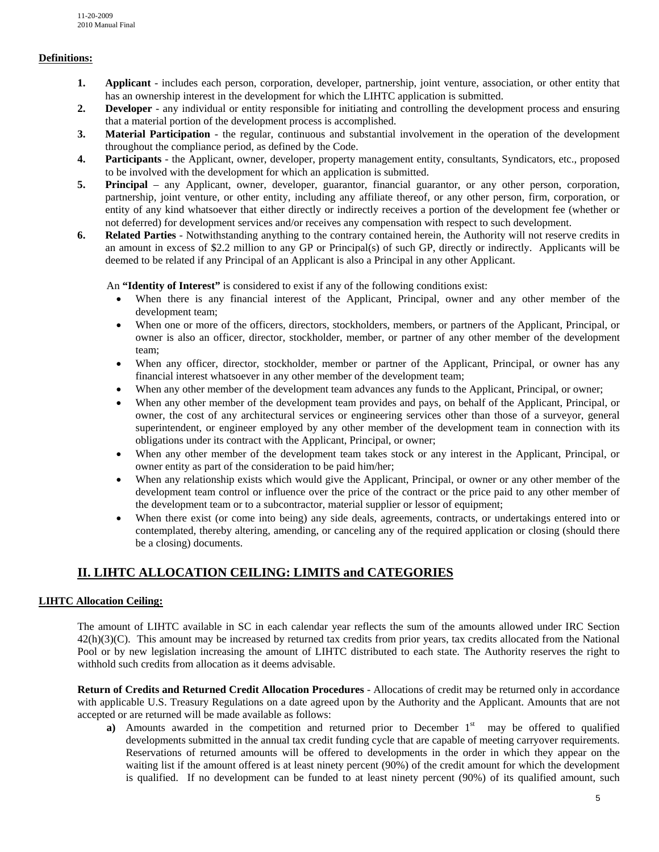## **Definitions:**

- **1. Applicant** includes each person, corporation, developer, partnership, joint venture, association, or other entity that has an ownership interest in the development for which the LIHTC application is submitted.
- **2. Developer** any individual or entity responsible for initiating and controlling the development process and ensuring that a material portion of the development process is accomplished.
- **3. Material Participation**  the regular, continuous and substantial involvement in the operation of the development throughout the compliance period, as defined by the Code.
- **4. Participants** the Applicant, owner, developer, property management entity, consultants, Syndicators, etc., proposed to be involved with the development for which an application is submitted.
- **5. Principal** any Applicant, owner, developer, guarantor, financial guarantor, or any other person, corporation, partnership, joint venture, or other entity, including any affiliate thereof, or any other person, firm, corporation, or entity of any kind whatsoever that either directly or indirectly receives a portion of the development fee (whether or not deferred) for development services and/or receives any compensation with respect to such development.
- **6. Related Parties** Notwithstanding anything to the contrary contained herein, the Authority will not reserve credits in an amount in excess of \$2.2 million to any GP or Principal(s) of such GP, directly or indirectly. Applicants will be deemed to be related if any Principal of an Applicant is also a Principal in any other Applicant.

An **"Identity of Interest"** is considered to exist if any of the following conditions exist:

- When there is any financial interest of the Applicant, Principal, owner and any other member of the development team;
- When one or more of the officers, directors, stockholders, members, or partners of the Applicant, Principal, or owner is also an officer, director, stockholder, member, or partner of any other member of the development team;
- When any officer, director, stockholder, member or partner of the Applicant, Principal, or owner has any financial interest whatsoever in any other member of the development team;
- When any other member of the development team advances any funds to the Applicant, Principal, or owner;
- When any other member of the development team provides and pays, on behalf of the Applicant, Principal, or owner, the cost of any architectural services or engineering services other than those of a surveyor, general superintendent, or engineer employed by any other member of the development team in connection with its obligations under its contract with the Applicant, Principal, or owner;
- When any other member of the development team takes stock or any interest in the Applicant, Principal, or owner entity as part of the consideration to be paid him/her;
- When any relationship exists which would give the Applicant, Principal, or owner or any other member of the development team control or influence over the price of the contract or the price paid to any other member of the development team or to a subcontractor, material supplier or lessor of equipment;
- When there exist (or come into being) any side deals, agreements, contracts, or undertakings entered into or contemplated, thereby altering, amending, or canceling any of the required application or closing (should there be a closing) documents.

## **II. LIHTC ALLOCATION CEILING: LIMITS and CATEGORIES**

## **LIHTC Allocation Ceiling:**

The amount of LIHTC available in SC in each calendar year reflects the sum of the amounts allowed under IRC Section  $42(h)(3)(C)$ . This amount may be increased by returned tax credits from prior years, tax credits allocated from the National Pool or by new legislation increasing the amount of LIHTC distributed to each state. The Authority reserves the right to withhold such credits from allocation as it deems advisable.

**Return of Credits and Returned Credit Allocation Procedures** - Allocations of credit may be returned only in accordance with applicable U.S. Treasury Regulations on a date agreed upon by the Authority and the Applicant. Amounts that are not accepted or are returned will be made available as follows:

**a**) Amounts awarded in the competition and returned prior to December 1<sup>st</sup> may be offered to qualified developments submitted in the annual tax credit funding cycle that are capable of meeting carryover requirements. Reservations of returned amounts will be offered to developments in the order in which they appear on the waiting list if the amount offered is at least ninety percent (90%) of the credit amount for which the development is qualified. If no development can be funded to at least ninety percent (90%) of its qualified amount, such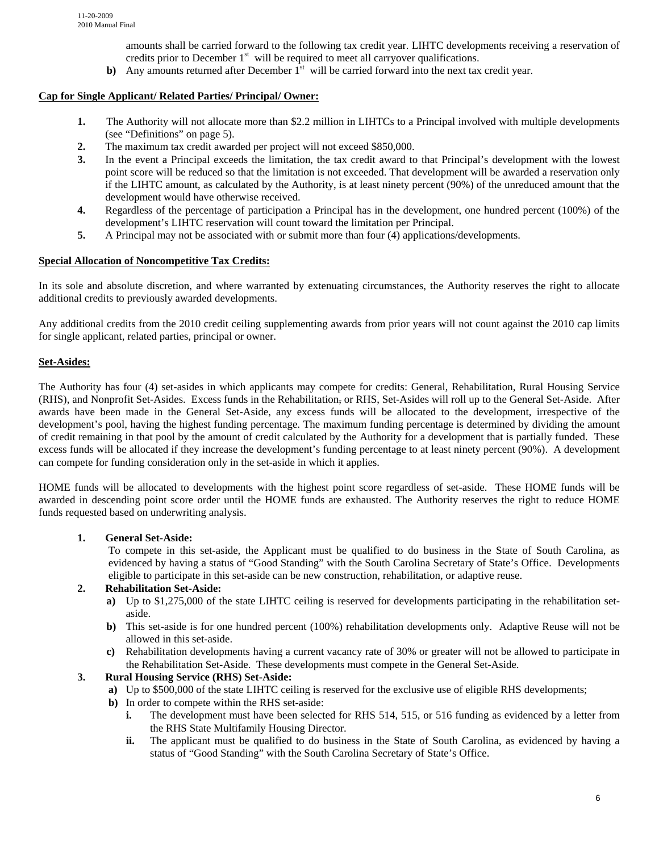amounts shall be carried forward to the following tax credit year. LIHTC developments receiving a reservation of credits prior to December  $1<sup>st</sup>$  will be required to meet all carryover qualifications.

**b**) Any amounts returned after December 1<sup>st</sup> will be carried forward into the next tax credit year.

## **Cap for Single Applicant/ Related Parties/ Principal/ Owner:**

- **1.** The Authority will not allocate more than \$2.2 million in LIHTCs to a Principal involved with multiple developments (see "Definitions" on page 5).
- **2.** The maximum tax credit awarded per project will not exceed \$850,000.
- **3.** In the event a Principal exceeds the limitation, the tax credit award to that Principal's development with the lowest point score will be reduced so that the limitation is not exceeded. That development will be awarded a reservation only if the LIHTC amount, as calculated by the Authority, is at least ninety percent (90%) of the unreduced amount that the development would have otherwise received.
- **4.** Regardless of the percentage of participation a Principal has in the development, one hundred percent (100%) of the development's LIHTC reservation will count toward the limitation per Principal.
- **5.** A Principal may not be associated with or submit more than four (4) applications/developments.

## **Special Allocation of Noncompetitive Tax Credits:**

In its sole and absolute discretion, and where warranted by extenuating circumstances, the Authority reserves the right to allocate additional credits to previously awarded developments.

Any additional credits from the 2010 credit ceiling supplementing awards from prior years will not count against the 2010 cap limits for single applicant, related parties, principal or owner.

## **Set-Asides:**

The Authority has four (4) set-asides in which applicants may compete for credits: General, Rehabilitation, Rural Housing Service (RHS), and Nonprofit Set-Asides. Excess funds in the Rehabilitation, or RHS, Set-Asides will roll up to the General Set-Aside. After awards have been made in the General Set-Aside, any excess funds will be allocated to the development, irrespective of the development's pool, having the highest funding percentage. The maximum funding percentage is determined by dividing the amount of credit remaining in that pool by the amount of credit calculated by the Authority for a development that is partially funded. These excess funds will be allocated if they increase the development's funding percentage to at least ninety percent (90%). A development can compete for funding consideration only in the set-aside in which it applies.

HOME funds will be allocated to developments with the highest point score regardless of set-aside. These HOME funds will be awarded in descending point score order until the HOME funds are exhausted. The Authority reserves the right to reduce HOME funds requested based on underwriting analysis.

## **1. General Set-Aside:**

To compete in this set-aside, the Applicant must be qualified to do business in the State of South Carolina, as evidenced by having a status of "Good Standing" with the South Carolina Secretary of State's Office. Developments eligible to participate in this set-aside can be new construction, rehabilitation, or adaptive reuse.

## **2. Rehabilitation Set-Aside:**

- **a)** Up to \$1,275,000 of the state LIHTC ceiling is reserved for developments participating in the rehabilitation setaside.
- **b)** This set-aside is for one hundred percent (100%) rehabilitation developments only. Adaptive Reuse will not be allowed in this set-aside.
- **c)** Rehabilitation developments having a current vacancy rate of 30% or greater will not be allowed to participate in the Rehabilitation Set-Aside. These developments must compete in the General Set-Aside.

## **3. Rural Housing Service (RHS) Set-Aside:**

- **a)** Up to \$500,000 of the state LIHTC ceiling is reserved for the exclusive use of eligible RHS developments;
- **b)** In order to compete within the RHS set-aside:
	- **i.** The development must have been selected for RHS 514, 515, or 516 funding as evidenced by a letter from the RHS State Multifamily Housing Director.
	- **ii.** The applicant must be qualified to do business in the State of South Carolina, as evidenced by having a status of "Good Standing" with the South Carolina Secretary of State's Office.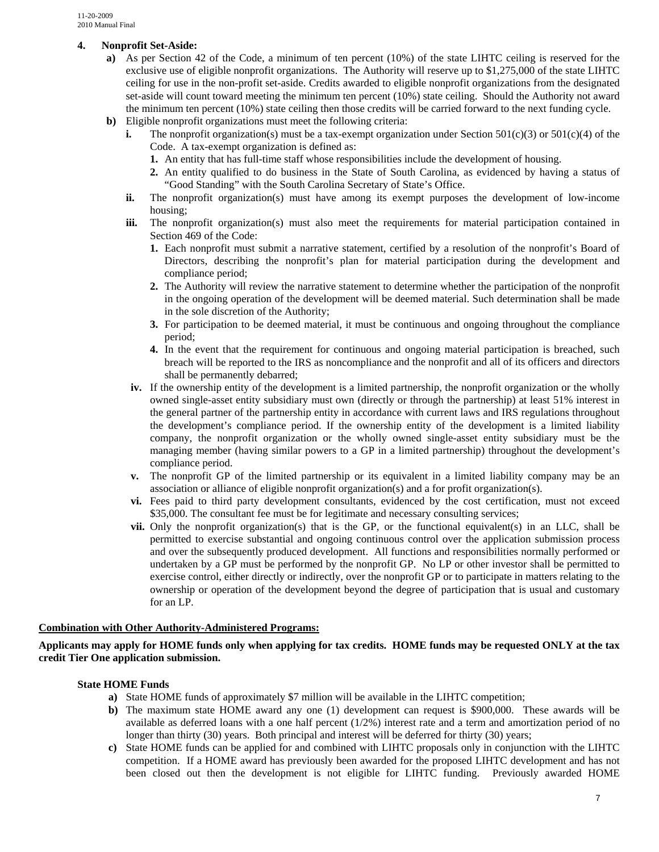#### **4. Nonprofit Set-Aside:**

- **a)** As per Section 42 of the Code, a minimum of ten percent (10%) of the state LIHTC ceiling is reserved for the exclusive use of eligible nonprofit organizations. The Authority will reserve up to \$1,275,000 of the state LIHTC ceiling for use in the non-profit set-aside. Credits awarded to eligible nonprofit organizations from the designated set-aside will count toward meeting the minimum ten percent (10%) state ceiling. Should the Authority not award the minimum ten percent (10%) state ceiling then those credits will be carried forward to the next funding cycle.
- **b**) Eligible nonprofit organizations must meet the following criteria:
	- **i.** The nonprofit organization(s) must be a tax-exempt organization under Section  $501(c)(3)$  or  $501(c)(4)$  of the Code. A tax-exempt organization is defined as:
		- **1.** An entity that has full-time staff whose responsibilities include the development of housing.
		- **2.** An entity qualified to do business in the State of South Carolina, as evidenced by having a status of "Good Standing" with the South Carolina Secretary of State's Office.
	- **ii.** The nonprofit organization(s) must have among its exempt purposes the development of low-income housing;
	- iii. The nonprofit organization(s) must also meet the requirements for material participation contained in Section 469 of the Code:
		- **1.** Each nonprofit must submit a narrative statement, certified by a resolution of the nonprofit's Board of Directors, describing the nonprofit's plan for material participation during the development and compliance period;
		- **2.** The Authority will review the narrative statement to determine whether the participation of the nonprofit in the ongoing operation of the development will be deemed material. Such determination shall be made in the sole discretion of the Authority;
		- **3.** For participation to be deemed material, it must be continuous and ongoing throughout the compliance period;
		- **4.** In the event that the requirement for continuous and ongoing material participation is breached, such breach will be reported to the IRS as noncompliance and the nonprofit and all of its officers and directors shall be permanently debarred;
	- **iv.** If the ownership entity of the development is a limited partnership, the nonprofit organization or the wholly owned single-asset entity subsidiary must own (directly or through the partnership) at least 51% interest in the general partner of the partnership entity in accordance with current laws and IRS regulations throughout the development's compliance period. If the ownership entity of the development is a limited liability company, the nonprofit organization or the wholly owned single-asset entity subsidiary must be the managing member (having similar powers to a GP in a limited partnership) throughout the development's compliance period.
	- **v.** The nonprofit GP of the limited partnership or its equivalent in a limited liability company may be an association or alliance of eligible nonprofit organization(s) and a for profit organization(s).
	- **vi.** Fees paid to third party development consultants, evidenced by the cost certification, must not exceed \$35,000. The consultant fee must be for legitimate and necessary consulting services;
	- **vii.** Only the nonprofit organization(s) that is the GP, or the functional equivalent(s) in an LLC, shall be permitted to exercise substantial and ongoing continuous control over the application submission process and over the subsequently produced development. All functions and responsibilities normally performed or undertaken by a GP must be performed by the nonprofit GP. No LP or other investor shall be permitted to exercise control, either directly or indirectly, over the nonprofit GP or to participate in matters relating to the ownership or operation of the development beyond the degree of participation that is usual and customary for an LP.

## **Combination with Other Authority-Administered Programs:**

**Applicants may apply for HOME funds only when applying for tax credits. HOME funds may be requested ONLY at the tax credit Tier One application submission.** 

## **State HOME Funds**

- **a)** State HOME funds of approximately \$7 million will be available in the LIHTC competition;
- **b)** The maximum state HOME award any one (1) development can request is \$900,000. These awards will be available as deferred loans with a one half percent  $(1/2%)$  interest rate and a term and amortization period of no longer than thirty (30) years. Both principal and interest will be deferred for thirty (30) years;
- **c)** State HOME funds can be applied for and combined with LIHTC proposals only in conjunction with the LIHTC competition. If a HOME award has previously been awarded for the proposed LIHTC development and has not been closed out then the development is not eligible for LIHTC funding. Previously awarded HOME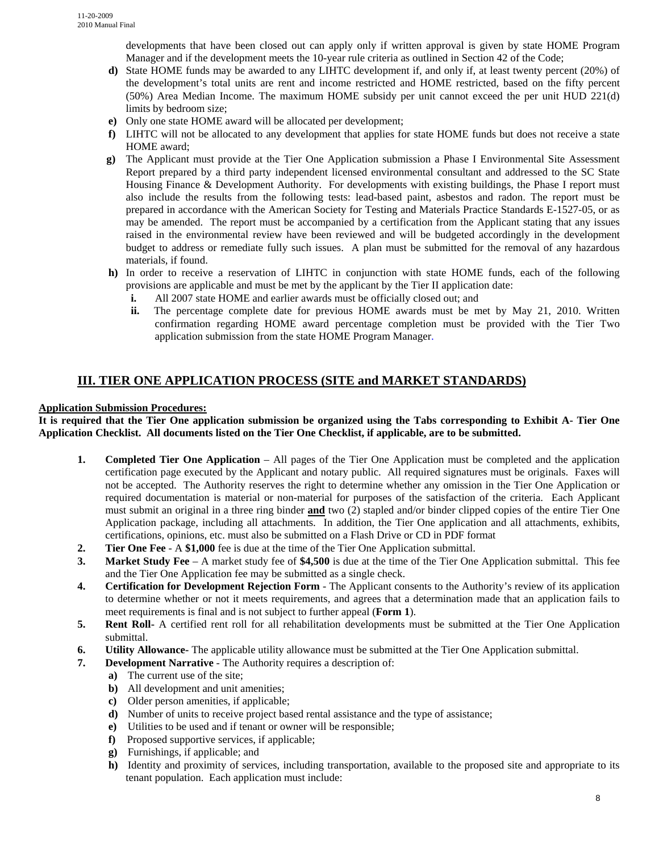developments that have been closed out can apply only if written approval is given by state HOME Program Manager and if the development meets the 10-year rule criteria as outlined in Section 42 of the Code;

- **d)** State HOME funds may be awarded to any LIHTC development if, and only if, at least twenty percent (20%) of the development's total units are rent and income restricted and HOME restricted, based on the fifty percent (50%) Area Median Income. The maximum HOME subsidy per unit cannot exceed the per unit HUD 221(d) limits by bedroom size;
- **e)** Only one state HOME award will be allocated per development;
- **f)** LIHTC will not be allocated to any development that applies for state HOME funds but does not receive a state HOME award;
- **g)** The Applicant must provide at the Tier One Application submission a Phase I Environmental Site Assessment Report prepared by a third party independent licensed environmental consultant and addressed to the SC State Housing Finance & Development Authority. For developments with existing buildings, the Phase I report must also include the results from the following tests: lead-based paint, asbestos and radon. The report must be prepared in accordance with the American Society for Testing and Materials Practice Standards E-1527-05, or as may be amended. The report must be accompanied by a certification from the Applicant stating that any issues raised in the environmental review have been reviewed and will be budgeted accordingly in the development budget to address or remediate fully such issues. A plan must be submitted for the removal of any hazardous materials, if found.
- **h)** In order to receive a reservation of LIHTC in conjunction with state HOME funds, each of the following provisions are applicable and must be met by the applicant by the Tier II application date:
	- **i.** All 2007 state HOME and earlier awards must be officially closed out; and
	- **ii.** The percentage complete date for previous HOME awards must be met by May 21, 2010. Written confirmation regarding HOME award percentage completion must be provided with the Tier Two application submission from the state HOME Program Manager.

## **III. TIER ONE APPLICATION PROCESS (SITE and MARKET STANDARDS)**

## **Application Submission Procedures:**

**It is required that the Tier One application submission be organized using the Tabs corresponding to Exhibit A- Tier One Application Checklist. All documents listed on the Tier One Checklist, if applicable, are to be submitted.** 

- **1. Completed Tier One Application** All pages of the Tier One Application must be completed and the application certification page executed by the Applicant and notary public. All required signatures must be originals. Faxes will not be accepted. The Authority reserves the right to determine whether any omission in the Tier One Application or required documentation is material or non-material for purposes of the satisfaction of the criteria. Each Applicant must submit an original in a three ring binder **and** two (2) stapled and/or binder clipped copies of the entire Tier One Application package, including all attachments. In addition, the Tier One application and all attachments, exhibits, certifications, opinions, etc. must also be submitted on a Flash Drive or CD in PDF format
- **2. Tier One Fee** A **\$1,000** fee is due at the time of the Tier One Application submittal.
- **3. Market Study Fee** A market study fee of **\$4,500** is due at the time of the Tier One Application submittal. This fee and the Tier One Application fee may be submitted as a single check.
- **4. Certification for Development Rejection Form** The Applicant consents to the Authority's review of its application to determine whether or not it meets requirements, and agrees that a determination made that an application fails to meet requirements is final and is not subject to further appeal (**Form 1**).
- **5. Rent Roll-** A certified rent roll for all rehabilitation developments must be submitted at the Tier One Application submittal.
- **6. Utility Allowance-** The applicable utility allowance must be submitted at the Tier One Application submittal.
- **7. Development Narrative** The Authority requires a description of:
	- **a)** The current use of the site;
	- **b)** All development and unit amenities;
	- **c)** Older person amenities, if applicable;
	- **d)** Number of units to receive project based rental assistance and the type of assistance;
	- **e)** Utilities to be used and if tenant or owner will be responsible;
	- **f)** Proposed supportive services, if applicable;
	- **g)** Furnishings, if applicable; and
	- **h)** Identity and proximity of services, including transportation, available to the proposed site and appropriate to its tenant population. Each application must include: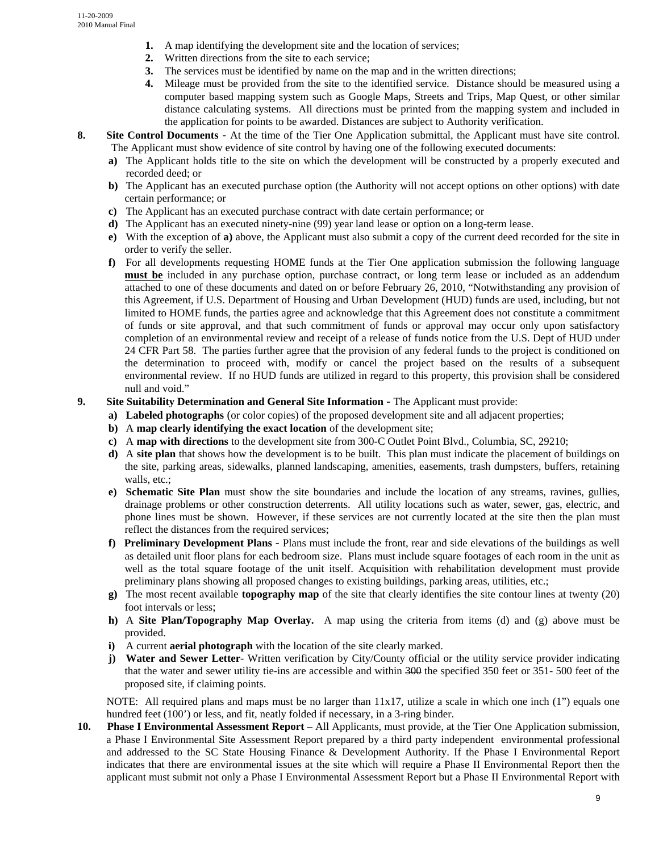- **1.** A map identifying the development site and the location of services;
- **2.** Written directions from the site to each service;
- **3.** The services must be identified by name on the map and in the written directions;
- **4.** Mileage must be provided from the site to the identified service. Distance should be measured using a computer based mapping system such as Google Maps, Streets and Trips, Map Quest, or other similar distance calculating systems. All directions must be printed from the mapping system and included in the application for points to be awarded. Distances are subject to Authority verification.
- **8. Site Control Documents** At the time of the Tier One Application submittal, the Applicant must have site control. The Applicant must show evidence of site control by having one of the following executed documents:
	- **a)** The Applicant holds title to the site on which the development will be constructed by a properly executed and recorded deed; or
	- **b**) The Applicant has an executed purchase option (the Authority will not accept options on other options) with date certain performance; or
	- **c)** The Applicant has an executed purchase contract with date certain performance; or
	- **d)** The Applicant has an executed ninety-nine (99) year land lease or option on a long-term lease.
	- **e)** With the exception of **a)** above, the Applicant must also submit a copy of the current deed recorded for the site in order to verify the seller.
	- **f)** For all developments requesting HOME funds at the Tier One application submission the following language **must be** included in any purchase option, purchase contract, or long term lease or included as an addendum attached to one of these documents and dated on or before February 26, 2010, "Notwithstanding any provision of this Agreement, if U.S. Department of Housing and Urban Development (HUD) funds are used, including, but not limited to HOME funds, the parties agree and acknowledge that this Agreement does not constitute a commitment of funds or site approval, and that such commitment of funds or approval may occur only upon satisfactory completion of an environmental review and receipt of a release of funds notice from the U.S. Dept of HUD under 24 CFR Part 58. The parties further agree that the provision of any federal funds to the project is conditioned on the determination to proceed with, modify or cancel the project based on the results of a subsequent environmental review. If no HUD funds are utilized in regard to this property, this provision shall be considered null and void."
- **9. Site Suitability Determination and General Site Information** The Applicant must provide:
	- **a) Labeled photographs** (or color copies) of the proposed development site and all adjacent properties;
	- **b)** A **map clearly identifying the exact location** of the development site;
	- **c)** A **map with directions** to the development site from 300-C Outlet Point Blvd., Columbia, SC, 29210;
	- **d)** A **site plan** that shows how the development is to be built. This plan must indicate the placement of buildings on the site, parking areas, sidewalks, planned landscaping, amenities, easements, trash dumpsters, buffers, retaining walls, etc.;
	- **e) Schematic Site Plan** must show the site boundaries and include the location of any streams, ravines, gullies, drainage problems or other construction deterrents. All utility locations such as water, sewer, gas, electric, and phone lines must be shown. However, if these services are not currently located at the site then the plan must reflect the distances from the required services;
	- **f) Preliminary Development Plans** Plans must include the front, rear and side elevations of the buildings as well as detailed unit floor plans for each bedroom size. Plans must include square footages of each room in the unit as well as the total square footage of the unit itself. Acquisition with rehabilitation development must provide preliminary plans showing all proposed changes to existing buildings, parking areas, utilities, etc.;
	- **g)** The most recent available **topography map** of the site that clearly identifies the site contour lines at twenty (20) foot intervals or less;
	- **h)** A **Site Plan/Topography Map Overlay.** A map using the criteria from items (d) and (g) above must be provided.
	- **i)** A current **aerial photograph** with the location of the site clearly marked.
	- **j) Water and Sewer Letter** Written verification by City/County official or the utility service provider indicating that the water and sewer utility tie-ins are accessible and within 300 the specified 350 feet or 351- 500 feet of the proposed site, if claiming points.

NOTE: All required plans and maps must be no larger than 11x17, utilize a scale in which one inch (1") equals one hundred feet (100<sup>o</sup>) or less, and fit, neatly folded if necessary, in a 3-ring binder.

**10. Phase I Environmental Assessment Report** – All Applicants, must provide, at the Tier One Application submission, a Phase I Environmental Site Assessment Report prepared by a third party independent environmental professional and addressed to the SC State Housing Finance & Development Authority. If the Phase I Environmental Report indicates that there are environmental issues at the site which will require a Phase II Environmental Report then the applicant must submit not only a Phase I Environmental Assessment Report but a Phase II Environmental Report with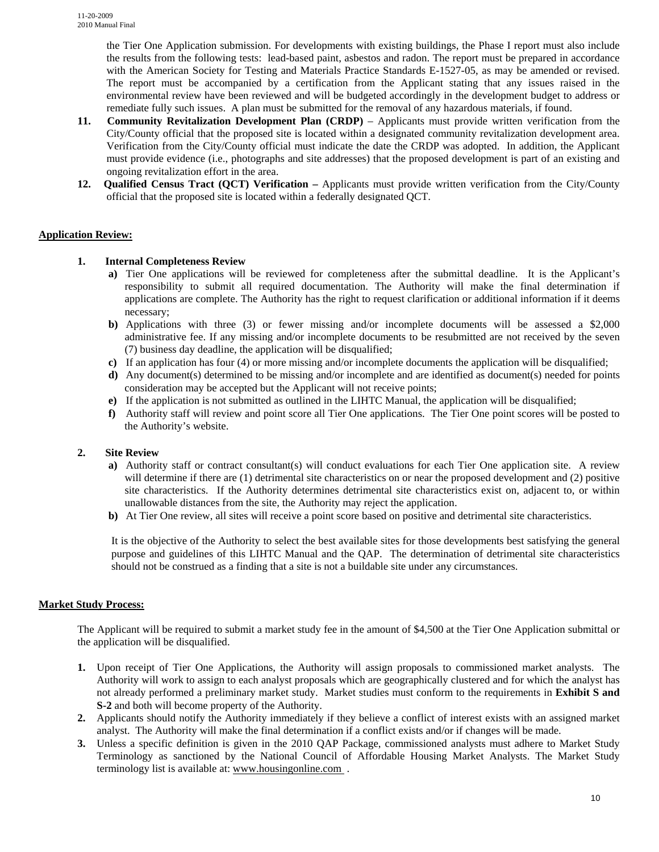the Tier One Application submission. For developments with existing buildings, the Phase I report must also include the results from the following tests: lead-based paint, asbestos and radon. The report must be prepared in accordance with the American Society for Testing and Materials Practice Standards E-1527-05, as may be amended or revised. The report must be accompanied by a certification from the Applicant stating that any issues raised in the environmental review have been reviewed and will be budgeted accordingly in the development budget to address or remediate fully such issues. A plan must be submitted for the removal of any hazardous materials, if found.

- **11. Community Revitalization Development Plan (CRDP)** Applicants must provide written verification from the City/County official that the proposed site is located within a designated community revitalization development area. Verification from the City/County official must indicate the date the CRDP was adopted. In addition, the Applicant must provide evidence (i.e., photographs and site addresses) that the proposed development is part of an existing and ongoing revitalization effort in the area.
- **12. Qualified Census Tract (QCT) Verification** Applicants must provide written verification from the City/County official that the proposed site is located within a federally designated QCT.

## **Application Review:**

## **1. Internal Completeness Review**

- **a)** Tier One applications will be reviewed for completeness after the submittal deadline. It is the Applicant's responsibility to submit all required documentation. The Authority will make the final determination if applications are complete. The Authority has the right to request clarification or additional information if it deems necessary;
- **b)** Applications with three (3) or fewer missing and/or incomplete documents will be assessed a \$2,000 administrative fee. If any missing and/or incomplete documents to be resubmitted are not received by the seven (7) business day deadline, the application will be disqualified;
- **c)** If an application has four (4) or more missing and/or incomplete documents the application will be disqualified;
- **d)** Any document(s) determined to be missing and/or incomplete and are identified as document(s) needed for points consideration may be accepted but the Applicant will not receive points;
- **e)** If the application is not submitted as outlined in the LIHTC Manual, the application will be disqualified;
- **f)** Authority staff will review and point score all Tier One applications. The Tier One point scores will be posted to the Authority's website.

## **2. Site Review**

- **a)** Authority staff or contract consultant(s) will conduct evaluations for each Tier One application site. A review will determine if there are (1) detrimental site characteristics on or near the proposed development and (2) positive site characteristics. If the Authority determines detrimental site characteristics exist on, adjacent to, or within unallowable distances from the site, the Authority may reject the application.
- **b)** At Tier One review, all sites will receive a point score based on positive and detrimental site characteristics.

It is the objective of the Authority to select the best available sites for those developments best satisfying the general purpose and guidelines of this LIHTC Manual and the QAP. The determination of detrimental site characteristics should not be construed as a finding that a site is not a buildable site under any circumstances.

## **Market Study Process:**

The Applicant will be required to submit a market study fee in the amount of \$4,500 at the Tier One Application submittal or the application will be disqualified.

- **1.** Upon receipt of Tier One Applications, the Authority will assign proposals to commissioned market analysts. The Authority will work to assign to each analyst proposals which are geographically clustered and for which the analyst has not already performed a preliminary market study. Market studies must conform to the requirements in **Exhibit S and S-2** and both will become property of the Authority.
- **2.** Applicants should notify the Authority immediately if they believe a conflict of interest exists with an assigned market analyst. The Authority will make the final determination if a conflict exists and/or if changes will be made.
- **3.** Unless a specific definition is given in the 2010 QAP Package, commissioned analysts must adhere to Market Study Terminology as sanctioned by the National Council of Affordable Housing Market Analysts. The Market Study terminology list is available at: [www.housingonline.com](http://www.housingonline.com/) .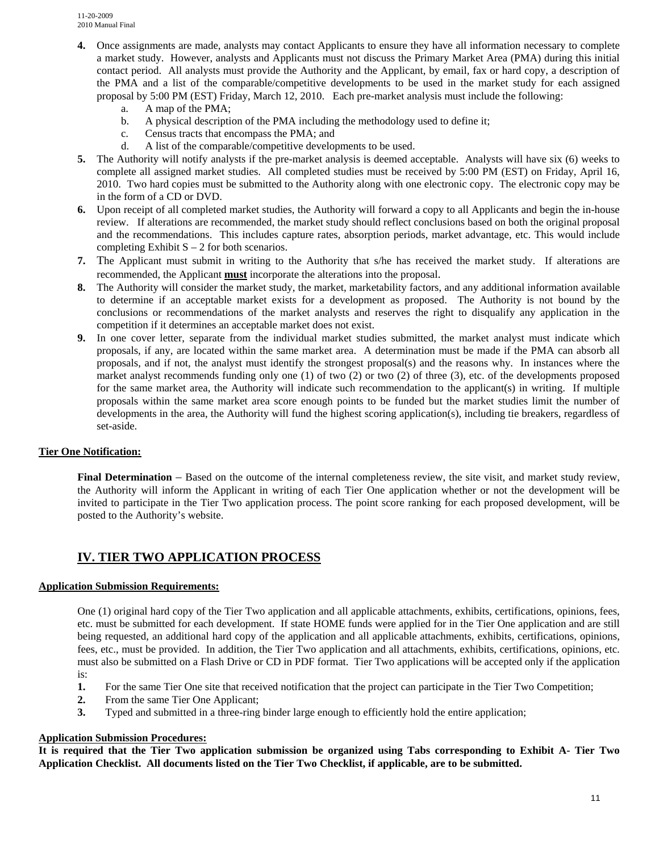- **4.** Once assignments are made, analysts may contact Applicants to ensure they have all information necessary to complete a market study. However, analysts and Applicants must not discuss the Primary Market Area (PMA) during this initial contact period. All analysts must provide the Authority and the Applicant, by email, fax or hard copy, a description of the PMA and a list of the comparable/competitive developments to be used in the market study for each assigned proposal by 5:00 PM (EST) Friday, March 12, 2010. Each pre-market analysis must include the following:
	- a. A map of the PMA;
	- b. A physical description of the PMA including the methodology used to define it;
	- c. Census tracts that encompass the PMA; and
	- d. A list of the comparable/competitive developments to be used.
- **5.** The Authority will notify analysts if the pre-market analysis is deemed acceptable. Analysts will have six (6) weeks to complete all assigned market studies. All completed studies must be received by 5:00 PM (EST) on Friday, April 16, 2010. Two hard copies must be submitted to the Authority along with one electronic copy. The electronic copy may be in the form of a CD or DVD.
- **6.** Upon receipt of all completed market studies, the Authority will forward a copy to all Applicants and begin the in-house review. If alterations are recommended, the market study should reflect conclusions based on both the original proposal and the recommendations. This includes capture rates, absorption periods, market advantage, etc. This would include completing Exhibit  $S - 2$  for both scenarios.
- **7.** The Applicant must submit in writing to the Authority that s/he has received the market study. If alterations are recommended, the Applicant **must** incorporate the alterations into the proposal.
- **8.** The Authority will consider the market study, the market, marketability factors, and any additional information available to determine if an acceptable market exists for a development as proposed. The Authority is not bound by the conclusions or recommendations of the market analysts and reserves the right to disqualify any application in the competition if it determines an acceptable market does not exist.
- **9.** In one cover letter, separate from the individual market studies submitted, the market analyst must indicate which proposals, if any, are located within the same market area. A determination must be made if the PMA can absorb all proposals, and if not, the analyst must identify the strongest proposal(s) and the reasons why. In instances where the market analyst recommends funding only one (1) of two (2) or two (2) of three (3), etc. of the developments proposed for the same market area, the Authority will indicate such recommendation to the applicant(s) in writing. If multiple proposals within the same market area score enough points to be funded but the market studies limit the number of developments in the area, the Authority will fund the highest scoring application(s), including tie breakers, regardless of set-aside.

## **Tier One Notification:**

**Final Determination** – Based on the outcome of the internal completeness review, the site visit, and market study review, the Authority will inform the Applicant in writing of each Tier One application whether or not the development will be invited to participate in the Tier Two application process. The point score ranking for each proposed development, will be posted to the Authority's website.

## **IV. TIER TWO APPLICATION PROCESS**

## **Application Submission Requirements:**

One (1) original hard copy of the Tier Two application and all applicable attachments, exhibits, certifications, opinions, fees, etc. must be submitted for each development. If state HOME funds were applied for in the Tier One application and are still being requested, an additional hard copy of the application and all applicable attachments, exhibits, certifications, opinions, fees, etc., must be provided. In addition, the Tier Two application and all attachments, exhibits, certifications, opinions, etc. must also be submitted on a Flash Drive or CD in PDF format. Tier Two applications will be accepted only if the application is:

- **1.** For the same Tier One site that received notification that the project can participate in the Tier Two Competition;
- **2.** From the same Tier One Applicant;
- **3.** Typed and submitted in a three-ring binder large enough to efficiently hold the entire application;

## **Application Submission Procedures:**

**It is required that the Tier Two application submission be organized using Tabs corresponding to Exhibit A- Tier Two Application Checklist. All documents listed on the Tier Two Checklist, if applicable, are to be submitted.**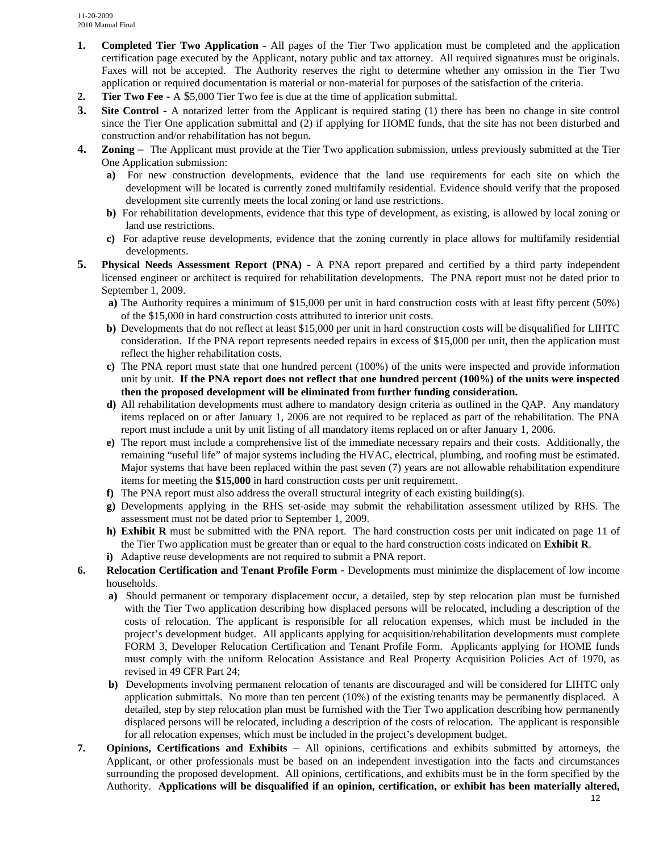- **1. Completed Tier Two Application** All pages of the Tier Two application must be completed and the application certification page executed by the Applicant, notary public and tax attorney. All required signatures must be originals. Faxes will not be accepted. The Authority reserves the right to determine whether any omission in the Tier Two application or required documentation is material or non-material for purposes of the satisfaction of the criteria.
- **2. Tier Two Fee** A \$5,000 Tier Two fee is due at the time of application submittal.
- **3. Site Control -** A notarized letter from the Applicant is required stating (1) there has been no change in site control since the Tier One application submittal and (2) if applying for HOME funds, that the site has not been disturbed and construction and/or rehabilitation has not begun.
- **4. Zoning** The Applicant must provide at the Tier Two application submission, unless previously submitted at the Tier One Application submission:
	- **a)** For new construction developments, evidence that the land use requirements for each site on which the development will be located is currently zoned multifamily residential. Evidence should verify that the proposed development site currently meets the local zoning or land use restrictions.
	- **b)** For rehabilitation developments, evidence that this type of development, as existing, is allowed by local zoning or land use restrictions.
	- **c)** For adaptive reuse developments, evidence that the zoning currently in place allows for multifamily residential developments.
- **5. Physical Needs Assessment Report (PNA)** A PNA report prepared and certified by a third party independent licensed engineer or architect is required for rehabilitation developments. The PNA report must not be dated prior to September 1, 2009.
	- **a)** The Authority requires a minimum of \$15,000 per unit in hard construction costs with at least fifty percent (50%) of the \$15,000 in hard construction costs attributed to interior unit costs.
	- **b**) Developments that do not reflect at least \$15,000 per unit in hard construction costs will be disqualified for LIHTC consideration. If the PNA report represents needed repairs in excess of \$15,000 per unit, then the application must reflect the higher rehabilitation costs.
	- **c)** The PNA report must state that one hundred percent (100%) of the units were inspected and provide information unit by unit. **If the PNA report does not reflect that one hundred percent (100%) of the units were inspected then the proposed development will be eliminated from further funding consideration.**
	- **d)** All rehabilitation developments must adhere to mandatory design criteria as outlined in the QAP. Any mandatory items replaced on or after January 1, 2006 are not required to be replaced as part of the rehabilitation. The PNA report must include a unit by unit listing of all mandatory items replaced on or after January 1, 2006.
	- **e)** The report must include a comprehensive list of the immediate necessary repairs and their costs. Additionally, the remaining "useful life" of major systems including the HVAC, electrical, plumbing, and roofing must be estimated. Major systems that have been replaced within the past seven (7) years are not allowable rehabilitation expenditure items for meeting the **\$15,000** in hard construction costs per unit requirement.
	- **f)** The PNA report must also address the overall structural integrity of each existing building(s).
	- **g)** Developments applying in the RHS set-aside may submit the rehabilitation assessment utilized by RHS. The assessment must not be dated prior to September 1, 2009.
	- **h) Exhibit R** must be submitted with the PNA report. The hard construction costs per unit indicated on page 11 of the Tier Two application must be greater than or equal to the hard construction costs indicated on **Exhibit R**.
	- **i)** Adaptive reuse developments are not required to submit a PNA report.
- **6. Relocation Certification and Tenant Profile Form** Developments must minimize the displacement of low income households.
	- **a**) Should permanent or temporary displacement occur, a detailed, step by step relocation plan must be furnished with the Tier Two application describing how displaced persons will be relocated, including a description of the costs of relocation. The applicant is responsible for all relocation expenses, which must be included in the project's development budget. All applicants applying for acquisition/rehabilitation developments must complete FORM 3, Developer Relocation Certification and Tenant Profile Form. Applicants applying for HOME funds must comply with the uniform Relocation Assistance and Real Property Acquisition Policies Act of 1970, as revised in 49 CFR Part 24;
	- **b)** Developments involving permanent relocation of tenants are discouraged and will be considered for LIHTC only application submittals. No more than ten percent (10%) of the existing tenants may be permanently displaced. A detailed, step by step relocation plan must be furnished with the Tier Two application describing how permanently displaced persons will be relocated, including a description of the costs of relocation. The applicant is responsible for all relocation expenses, which must be included in the project's development budget.
- **7. Opinions, Certifications and Exhibits** All opinions, certifications and exhibits submitted by attorneys, the Applicant, or other professionals must be based on an independent investigation into the facts and circumstances surrounding the proposed development. All opinions, certifications, and exhibits must be in the form specified by the Authority. **Applications will be disqualified if an opinion, certification, or exhibit has been materially altered,**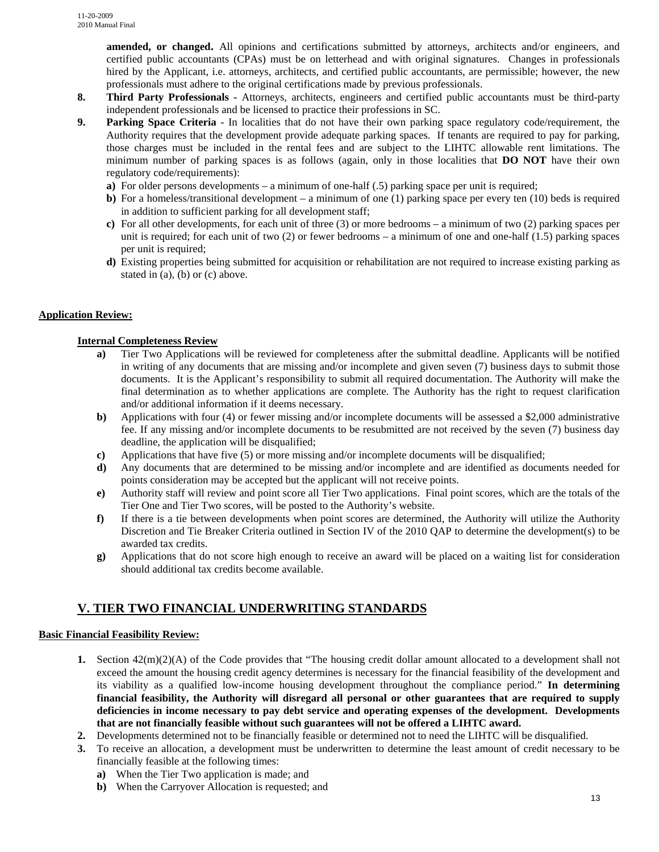**amended, or changed.** All opinions and certifications submitted by attorneys, architects and/or engineers, and certified public accountants (CPAs) must be on letterhead and with original signatures. Changes in professionals hired by the Applicant, i.e. attorneys, architects, and certified public accountants, are permissible; however, the new professionals must adhere to the original certifications made by previous professionals.

- **8. Third Party Professionals** Attorneys, architects, engineers and certified public accountants must be third-party independent professionals and be licensed to practice their professions in SC.
- **9. Parking Space Criteria**  In localities that do not have their own parking space regulatory code/requirement, the Authority requires that the development provide adequate parking spaces. If tenants are required to pay for parking, those charges must be included in the rental fees and are subject to the LIHTC allowable rent limitations. The minimum number of parking spaces is as follows (again, only in those localities that **DO NOT** have their own regulatory code/requirements):
	- **a**) For older persons developments a minimum of one-half (.5) parking space per unit is required;
	- **b)** For a homeless/transitional development a minimum of one (1) parking space per every ten (10) beds is required in addition to sufficient parking for all development staff;
	- **c)** For all other developments, for each unit of three (3) or more bedrooms a minimum of two (2) parking spaces per unit is required; for each unit of two  $(2)$  or fewer bedrooms – a minimum of one and one-half  $(1.5)$  parking spaces per unit is required;
	- **d)** Existing properties being submitted for acquisition or rehabilitation are not required to increase existing parking as stated in (a), (b) or (c) above.

## **Application Review:**

## **Internal Completeness Review**

- **a)** Tier Two Applications will be reviewed for completeness after the submittal deadline. Applicants will be notified in writing of any documents that are missing and/or incomplete and given seven (7) business days to submit those documents. It is the Applicant's responsibility to submit all required documentation. The Authority will make the final determination as to whether applications are complete. The Authority has the right to request clarification and/or additional information if it deems necessary.
- **b**) Applications with four (4) or fewer missing and/or incomplete documents will be assessed a \$2,000 administrative fee. If any missing and/or incomplete documents to be resubmitted are not received by the seven (7) business day deadline, the application will be disqualified;
- **c)** Applications that have five (5) or more missing and/or incomplete documents will be disqualified;
- **d)** Any documents that are determined to be missing and/or incomplete and are identified as documents needed for points consideration may be accepted but the applicant will not receive points.
- **e)** Authority staff will review and point score all Tier Two applications. Final point scores, which are the totals of the Tier One and Tier Two scores, will be posted to the Authority's website.
- **f)** If there is a tie between developments when point scores are determined, the Authority will utilize the Authority Discretion and Tie Breaker Criteria outlined in Section IV of the 2010 QAP to determine the development(s) to be awarded tax credits.
- **g)** Applications that do not score high enough to receive an award will be placed on a waiting list for consideration should additional tax credits become available.

## **V. TIER TWO FINANCIAL UNDERWRITING STANDARDS**

## **Basic Financial Feasibility Review:**

- **1.** Section 42(m)(2)(A) of the Code provides that "The housing credit dollar amount allocated to a development shall not exceed the amount the housing credit agency determines is necessary for the financial feasibility of the development and its viability as a qualified low-income housing development throughout the compliance period." **In determining financial feasibility, the Authority will disregard all personal or other guarantees that are required to supply deficiencies in income necessary to pay debt service and operating expenses of the development. Developments that are not financially feasible without such guarantees will not be offered a LIHTC award.**
- **2.** Developments determined not to be financially feasible or determined not to need the LIHTC will be disqualified.
- **3.** To receive an allocation, a development must be underwritten to determine the least amount of credit necessary to be financially feasible at the following times:
	- **a)** When the Tier Two application is made; and
	- **b)** When the Carryover Allocation is requested; and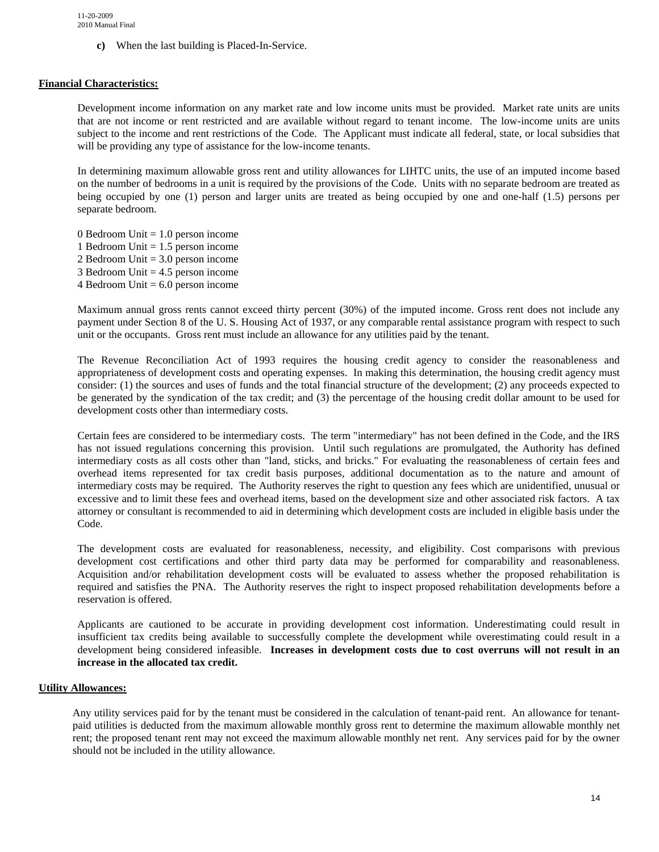**c)** When the last building is Placed-In-Service.

## **Financial Characteristics:**

Development income information on any market rate and low income units must be provided. Market rate units are units that are not income or rent restricted and are available without regard to tenant income. The low-income units are units subject to the income and rent restrictions of the Code. The Applicant must indicate all federal, state, or local subsidies that will be providing any type of assistance for the low-income tenants.

In determining maximum allowable gross rent and utility allowances for LIHTC units, the use of an imputed income based on the number of bedrooms in a unit is required by the provisions of the Code. Units with no separate bedroom are treated as being occupied by one (1) person and larger units are treated as being occupied by one and one-half (1.5) persons per separate bedroom.

- 0 Bedroom Unit  $= 1.0$  person income
- 1 Bedroom Unit  $= 1.5$  person income
- 2 Bedroom Unit = 3.0 person income
- 3 Bedroom Unit = 4.5 person income
- $4$  Bedroom Unit  $= 6.0$  person income

Maximum annual gross rents cannot exceed thirty percent (30%) of the imputed income. Gross rent does not include any payment under Section 8 of the U. S. Housing Act of 1937, or any comparable rental assistance program with respect to such unit or the occupants. Gross rent must include an allowance for any utilities paid by the tenant.

The Revenue Reconciliation Act of 1993 requires the housing credit agency to consider the reasonableness and appropriateness of development costs and operating expenses. In making this determination, the housing credit agency must consider: (1) the sources and uses of funds and the total financial structure of the development; (2) any proceeds expected to be generated by the syndication of the tax credit; and (3) the percentage of the housing credit dollar amount to be used for development costs other than intermediary costs.

Certain fees are considered to be intermediary costs. The term "intermediary" has not been defined in the Code, and the IRS has not issued regulations concerning this provision. Until such regulations are promulgated, the Authority has defined intermediary costs as all costs other than "land, sticks, and bricks." For evaluating the reasonableness of certain fees and overhead items represented for tax credit basis purposes, additional documentation as to the nature and amount of intermediary costs may be required. The Authority reserves the right to question any fees which are unidentified, unusual or excessive and to limit these fees and overhead items, based on the development size and other associated risk factors. A tax attorney or consultant is recommended to aid in determining which development costs are included in eligible basis under the Code.

The development costs are evaluated for reasonableness, necessity, and eligibility. Cost comparisons with previous development cost certifications and other third party data may be performed for comparability and reasonableness. Acquisition and/or rehabilitation development costs will be evaluated to assess whether the proposed rehabilitation is required and satisfies the PNA. The Authority reserves the right to inspect proposed rehabilitation developments before a reservation is offered.

Applicants are cautioned to be accurate in providing development cost information. Underestimating could result in insufficient tax credits being available to successfully complete the development while overestimating could result in a development being considered infeasible. **Increases in development costs due to cost overruns will not result in an increase in the allocated tax credit.** 

#### **Utility Allowances:**

Any utility services paid for by the tenant must be considered in the calculation of tenant-paid rent. An allowance for tenantpaid utilities is deducted from the maximum allowable monthly gross rent to determine the maximum allowable monthly net rent; the proposed tenant rent may not exceed the maximum allowable monthly net rent. Any services paid for by the owner should not be included in the utility allowance.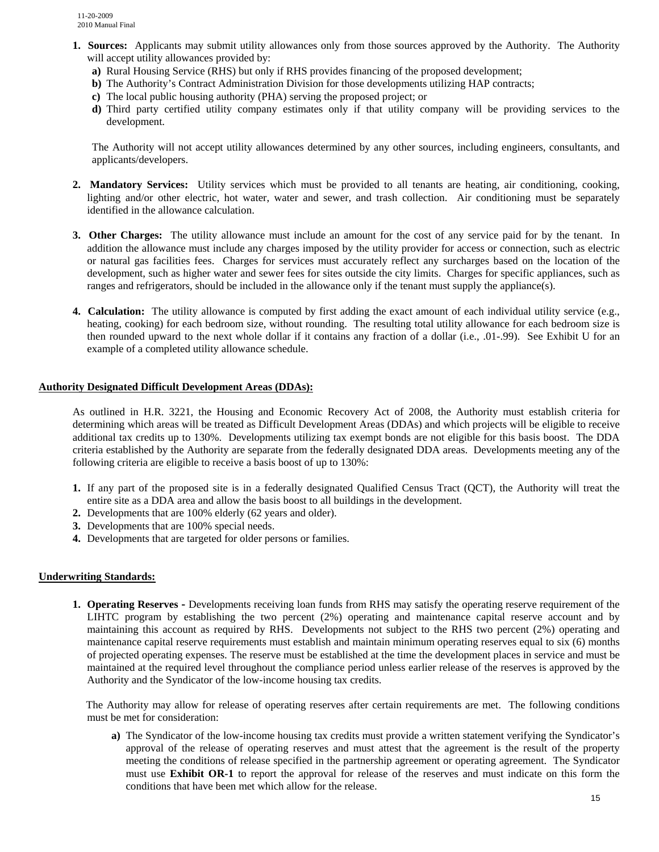- **1. Sources:** Applicants may submit utility allowances only from those sources approved by the Authority. The Authority will accept utility allowances provided by:
	- **a)** Rural Housing Service (RHS) but only if RHS provides financing of the proposed development;
	- **b)** The Authority's Contract Administration Division for those developments utilizing HAP contracts;
	- **c)** The local public housing authority (PHA) serving the proposed project; or
	- **d)** Third party certified utility company estimates only if that utility company will be providing services to the development.

The Authority will not accept utility allowances determined by any other sources, including engineers, consultants, and applicants/developers.

- **2. Mandatory Services:** Utility services which must be provided to all tenants are heating, air conditioning, cooking, lighting and/or other electric, hot water, water and sewer, and trash collection. Air conditioning must be separately identified in the allowance calculation.
- **3. Other Charges:** The utility allowance must include an amount for the cost of any service paid for by the tenant. In addition the allowance must include any charges imposed by the utility provider for access or connection, such as electric or natural gas facilities fees. Charges for services must accurately reflect any surcharges based on the location of the development, such as higher water and sewer fees for sites outside the city limits. Charges for specific appliances, such as ranges and refrigerators, should be included in the allowance only if the tenant must supply the appliance(s).
- **4. Calculation:** The utility allowance is computed by first adding the exact amount of each individual utility service (e.g., heating, cooking) for each bedroom size, without rounding. The resulting total utility allowance for each bedroom size is then rounded upward to the next whole dollar if it contains any fraction of a dollar (i.e., .01-.99). See Exhibit U for an example of a completed utility allowance schedule.

#### **Authority Designated Difficult Development Areas (DDAs):**

 As outlined in H.R. 3221, the Housing and Economic Recovery Act of 2008, the Authority must establish criteria for determining which areas will be treated as Difficult Development Areas (DDAs) and which projects will be eligible to receive additional tax credits up to 130%. Developments utilizing tax exempt bonds are not eligible for this basis boost. The DDA criteria established by the Authority are separate from the federally designated DDA areas. Developments meeting any of the following criteria are eligible to receive a basis boost of up to 130%:

- **1.** If any part of the proposed site is in a federally designated Qualified Census Tract (QCT), the Authority will treat the entire site as a DDA area and allow the basis boost to all buildings in the development.
- **2.** Developments that are 100% elderly (62 years and older).
- **3.** Developments that are 100% special needs.
- **4.** Developments that are targeted for older persons or families.

#### **Underwriting Standards:**

**1. Operating Reserves -** Developments receiving loan funds from RHS may satisfy the operating reserve requirement of the LIHTC program by establishing the two percent (2%) operating and maintenance capital reserve account and by maintaining this account as required by RHS. Developments not subject to the RHS two percent (2%) operating and maintenance capital reserve requirements must establish and maintain minimum operating reserves equal to six (6) months of projected operating expenses. The reserve must be established at the time the development places in service and must be maintained at the required level throughout the compliance period unless earlier release of the reserves is approved by the Authority and the Syndicator of the low-income housing tax credits.

 The Authority may allow for release of operating reserves after certain requirements are met. The following conditions must be met for consideration:

**a)** The Syndicator of the low-income housing tax credits must provide a written statement verifying the Syndicator's approval of the release of operating reserves and must attest that the agreement is the result of the property meeting the conditions of release specified in the partnership agreement or operating agreement. The Syndicator must use **Exhibit OR-1** to report the approval for release of the reserves and must indicate on this form the conditions that have been met which allow for the release.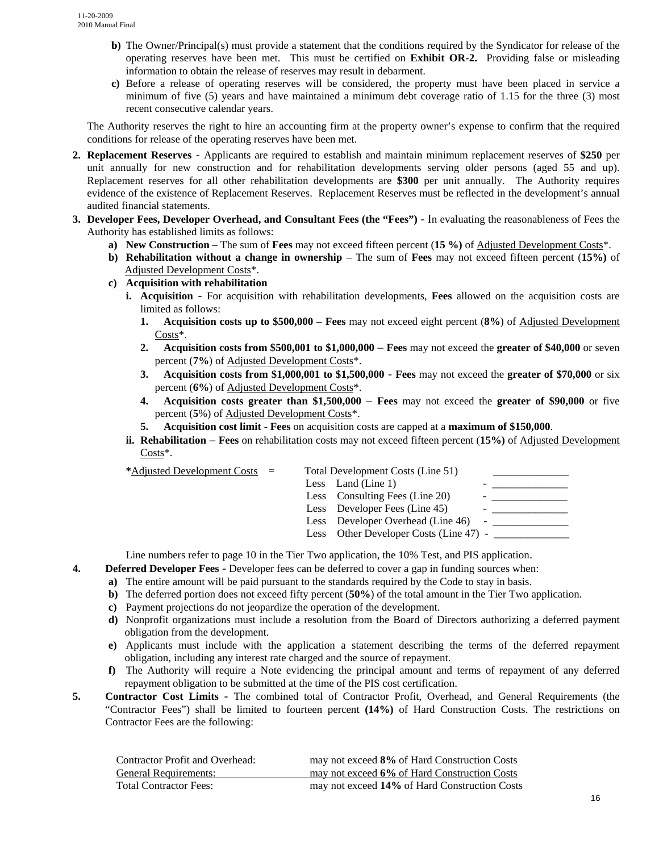- **b**) The Owner/Principal(s) must provide a statement that the conditions required by the Syndicator for release of the operating reserves have been met. This must be certified on **Exhibit OR-2.** Providing false or misleading information to obtain the release of reserves may result in debarment.
- **c)** Before a release of operating reserves will be considered, the property must have been placed in service a minimum of five (5) years and have maintained a minimum debt coverage ratio of 1.15 for the three (3) most recent consecutive calendar years.

The Authority reserves the right to hire an accounting firm at the property owner's expense to confirm that the required conditions for release of the operating reserves have been met.

- **2. Replacement Reserves** Applicants are required to establish and maintain minimum replacement reserves of **\$250** per unit annually for new construction and for rehabilitation developments serving older persons (aged 55 and up). Replacement reserves for all other rehabilitation developments are **\$300** per unit annually. The Authority requires evidence of the existence of Replacement Reserves. Replacement Reserves must be reflected in the development's annual audited financial statements.
- **3. Developer Fees, Developer Overhead, and Consultant Fees (the "Fees")**  In evaluating the reasonableness of Fees the Authority has established limits as follows:
	- **a) New Construction** The sum of **Fees** may not exceed fifteen percent (**15 %)** of Adjusted Development Costs\*.
	- **b) Rehabilitation without a change in ownership** The sum of **Fees** may not exceed fifteen percent (**15%)** of Adjusted Development Costs\*.
	- **c) Acquisition with rehabilitation** 
		- **i. Acquisition** For acquisition with rehabilitation developments, **Fees** allowed on the acquisition costs are limited as follows:
			- **1. Acquisition costs up to \$500,000 Fees** may not exceed eight percent (**8%**) of Adjusted Development Costs\*.
			- **2. Acquisition costs from \$500,001 to \$1,000,000 Fees** may not exceed the **greater of \$40,000** or seven percent (**7%**) of Adjusted Development Costs\*.
			- **3. Acquisition costs from \$1,000,001 to \$1,500,000 Fees** may not exceed the **greater of \$70,000** or six percent (**6%**) of Adjusted Development Costs\*.
			- **4. Acquisition costs greater than \$1,500,000 Fees** may not exceed the **greater of \$90,000** or five percent (**5**%) of Adjusted Development Costs\*.
			- **5. Acquisition cost limit Fees** on acquisition costs are capped at a **maximum of \$150,000**.
		- **ii. Rehabilitation Fees** on rehabilitation costs may not exceed fifteen percent (**15%)** of Adjusted Development Costs\*.

- **\***Adjusted Development Costs = Total Development Costs (Line 51) \_\_\_\_\_\_\_\_\_\_\_\_\_\_ Less Land (Line  $1$ ) Less Consulting Fees (Line  $20$ ) Less Developer Fees (Line 45) Less Developer Overhead (Line 46)
	- Less Other Developer Costs (Line 47) -

Line numbers refer to page 10 in the Tier Two application, the 10% Test, and PIS application.

- **4. Deferred Developer Fees** Developer fees can be deferred to cover a gap in funding sources when:
	- **a)** The entire amount will be paid pursuant to the standards required by the Code to stay in basis.
	- **b)** The deferred portion does not exceed fifty percent (**50%**) of the total amount in the Tier Two application.
	- **c)** Payment projections do not jeopardize the operation of the development.
	- **d)** Nonprofit organizations must include a resolution from the Board of Directors authorizing a deferred payment obligation from the development.
	- **e)** Applicants must include with the application a statement describing the terms of the deferred repayment obligation, including any interest rate charged and the source of repayment.
	- **f)** The Authority will require a Note evidencing the principal amount and terms of repayment of any deferred repayment obligation to be submitted at the time of the PIS cost certification.
- **5. Contractor Cost Limits** The combined total of Contractor Profit, Overhead, and General Requirements (the "Contractor Fees") shall be limited to fourteen percent **(14%)** of Hard Construction Costs. The restrictions on Contractor Fees are the following:

| Contractor Profit and Overhead: | may not exceed 8% of Hard Construction Costs  |
|---------------------------------|-----------------------------------------------|
| General Requirements:           | may not exceed 6% of Hard Construction Costs  |
| <b>Total Contractor Fees:</b>   | may not exceed 14% of Hard Construction Costs |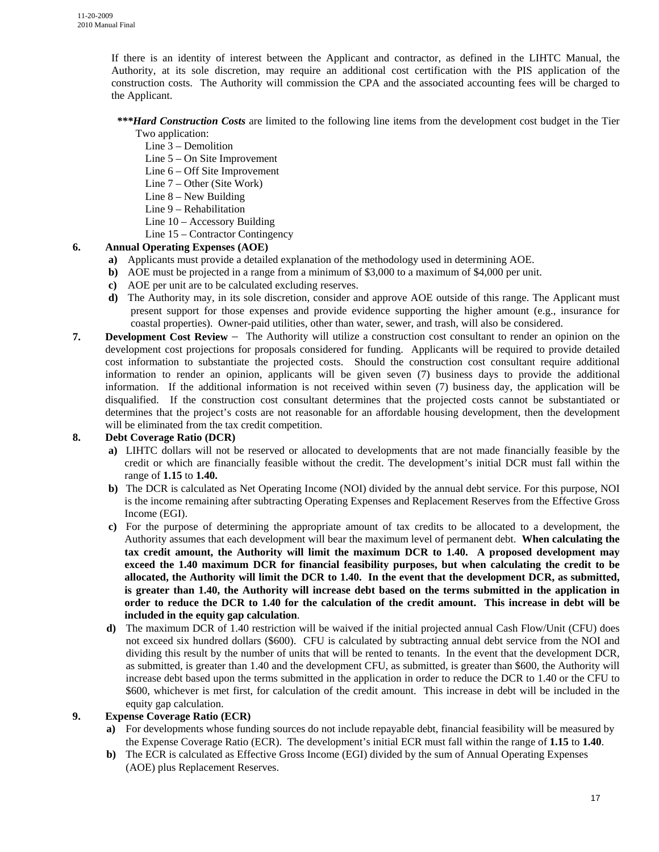If there is an identity of interest between the Applicant and contractor, as defined in the LIHTC Manual, the Authority, at its sole discretion, may require an additional cost certification with the PIS application of the construction costs. The Authority will commission the CPA and the associated accounting fees will be charged to the Applicant.

*\*\*\*Hard Construction Costs* are limited to the following line items from the development cost budget in the Tier

- Two application:
	- Line 3 Demolition
	- Line 5 On Site Improvement Line 6 – Off Site Improvement
	- Line 7 Other (Site Work)
	- Line 8 New Building
	- Line 9 Rehabilitation
	- Line 10 Accessory Building
	- Line 15 Contractor Contingency

## **6. Annual Operating Expenses (AOE)**

- **a)** Applicants must provide a detailed explanation of the methodology used in determining AOE.
- **b**) AOE must be projected in a range from a minimum of \$3,000 to a maximum of \$4,000 per unit.
- **c)** AOE per unit are to be calculated excluding reserves.
- **d)** The Authority may, in its sole discretion, consider and approve AOE outside of this range. The Applicant must present support for those expenses and provide evidence supporting the higher amount (e.g., insurance for coastal properties). Owner-paid utilities, other than water, sewer, and trash, will also be considered.
- **7. Development Cost Review** The Authority will utilize a construction cost consultant to render an opinion on the development cost projections for proposals considered for funding. Applicants will be required to provide detailed cost information to substantiate the projected costs. Should the construction cost consultant require additional information to render an opinion, applicants will be given seven (7) business days to provide the additional information. If the additional information is not received within seven (7) business day, the application will be disqualified. If the construction cost consultant determines that the projected costs cannot be substantiated or determines that the project's costs are not reasonable for an affordable housing development, then the development will be eliminated from the tax credit competition.

## **8. Debt Coverage Ratio (DCR)**

- **a)** LIHTC dollars will not be reserved or allocated to developments that are not made financially feasible by the credit or which are financially feasible without the credit. The development's initial DCR must fall within the range of **1.15** to **1.40.**
- **b)** The DCR is calculated as Net Operating Income (NOI) divided by the annual debt service. For this purpose, NOI is the income remaining after subtracting Operating Expenses and Replacement Reserves from the Effective Gross Income (EGI).
- **c)** For the purpose of determining the appropriate amount of tax credits to be allocated to a development, the Authority assumes that each development will bear the maximum level of permanent debt. **When calculating the tax credit amount, the Authority will limit the maximum DCR to 1.40. A proposed development may exceed the 1.40 maximum DCR for financial feasibility purposes, but when calculating the credit to be allocated, the Authority will limit the DCR to 1.40. In the event that the development DCR, as submitted, is greater than 1.40, the Authority will increase debt based on the terms submitted in the application in order to reduce the DCR to 1.40 for the calculation of the credit amount. This increase in debt will be included in the equity gap calculation**.
- **d**) The maximum DCR of 1.40 restriction will be waived if the initial projected annual Cash Flow/Unit (CFU) does not exceed six hundred dollars (\$600). CFU is calculated by subtracting annual debt service from the NOI and dividing this result by the number of units that will be rented to tenants. In the event that the development DCR, as submitted, is greater than 1.40 and the development CFU, as submitted, is greater than \$600, the Authority will increase debt based upon the terms submitted in the application in order to reduce the DCR to 1.40 or the CFU to \$600, whichever is met first, for calculation of the credit amount. This increase in debt will be included in the equity gap calculation.

## **9. Expense Coverage Ratio (ECR)**

- **a)** For developments whose funding sources do not include repayable debt, financial feasibility will be measured by the Expense Coverage Ratio (ECR). The development's initial ECR must fall within the range of **1.15** to **1.40**.
- **b)** The ECR is calculated as Effective Gross Income (EGI) divided by the sum of Annual Operating Expenses (AOE) plus Replacement Reserves.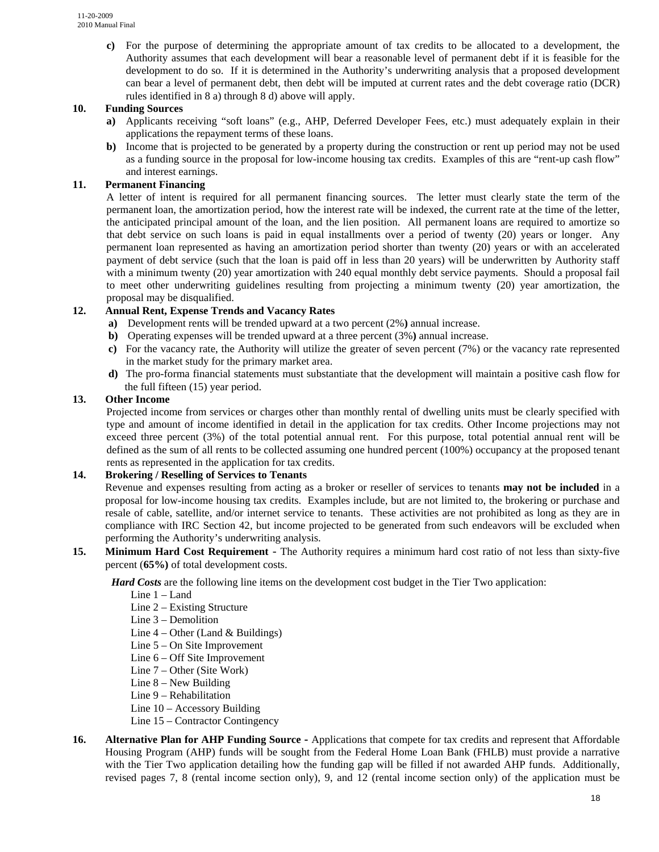**c)** For the purpose of determining the appropriate amount of tax credits to be allocated to a development, the Authority assumes that each development will bear a reasonable level of permanent debt if it is feasible for the development to do so. If it is determined in the Authority's underwriting analysis that a proposed development can bear a level of permanent debt, then debt will be imputed at current rates and the debt coverage ratio (DCR) rules identified in 8 a) through 8 d) above will apply.

## **10. Funding Sources**

- **a)** Applicants receiving "soft loans" (e.g., AHP, Deferred Developer Fees, etc.) must adequately explain in their applications the repayment terms of these loans.
- **b)** Income that is projected to be generated by a property during the construction or rent up period may not be used as a funding source in the proposal for low-income housing tax credits. Examples of this are "rent-up cash flow" and interest earnings.

## **11. Permanent Financing**

A letter of intent is required for all permanent financing sources. The letter must clearly state the term of the permanent loan, the amortization period, how the interest rate will be indexed, the current rate at the time of the letter, the anticipated principal amount of the loan, and the lien position. All permanent loans are required to amortize so that debt service on such loans is paid in equal installments over a period of twenty (20) years or longer. Any permanent loan represented as having an amortization period shorter than twenty (20) years or with an accelerated payment of debt service (such that the loan is paid off in less than 20 years) will be underwritten by Authority staff with a minimum twenty (20) year amortization with 240 equal monthly debt service payments. Should a proposal fail to meet other underwriting guidelines resulting from projecting a minimum twenty (20) year amortization, the proposal may be disqualified.

## **12. Annual Rent, Expense Trends and Vacancy Rates**

- **a)** Development rents will be trended upward at a two percent (2%**)** annual increase.
- **b)** Operating expenses will be trended upward at a three percent (3%**)** annual increase.
- **c)** For the vacancy rate, the Authority will utilize the greater of seven percent (7%) or the vacancy rate represented in the market study for the primary market area.
- **d)** The pro-forma financial statements must substantiate that the development will maintain a positive cash flow for the full fifteen (15) year period.

## **13. Other Income**

Projected income from services or charges other than monthly rental of dwelling units must be clearly specified with type and amount of income identified in detail in the application for tax credits. Other Income projections may not exceed three percent (3%) of the total potential annual rent. For this purpose, total potential annual rent will be defined as the sum of all rents to be collected assuming one hundred percent (100%) occupancy at the proposed tenant rents as represented in the application for tax credits.

## **14. Brokering / Reselling of Services to Tenants**

Revenue and expenses resulting from acting as a broker or reseller of services to tenants **may not be included** in a proposal for low-income housing tax credits. Examples include, but are not limited to, the brokering or purchase and resale of cable, satellite, and/or internet service to tenants. These activities are not prohibited as long as they are in compliance with IRC Section 42, but income projected to be generated from such endeavors will be excluded when performing the Authority's underwriting analysis.

**15. Minimum Hard Cost Requirement** - The Authority requires a minimum hard cost ratio of not less than sixty-five percent (**65%)** of total development costs.

*Hard Costs* are the following line items on the development cost budget in the Tier Two application:

- Line 1 Land
- Line 2 Existing Structure
- Line 3 Demolition
- Line  $4 -$ Other (Land & Buildings)
- Line 5 On Site Improvement
- Line 6 Off Site Improvement
- Line 7 Other (Site Work)
- Line 8 New Building
- Line 9 Rehabilitation
- Line 10 Accessory Building
- Line 15 Contractor Contingency
- **16. Alternative Plan for AHP Funding Source -** Applications that compete for tax credits and represent that Affordable Housing Program (AHP) funds will be sought from the Federal Home Loan Bank (FHLB) must provide a narrative with the Tier Two application detailing how the funding gap will be filled if not awarded AHP funds. Additionally, revised pages 7, 8 (rental income section only), 9, and 12 (rental income section only) of the application must be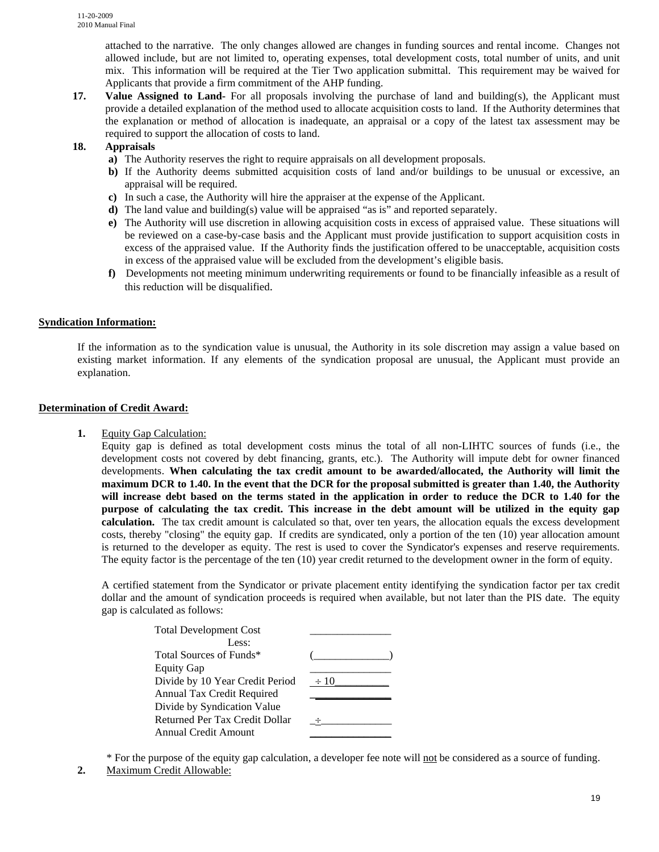attached to the narrative. The only changes allowed are changes in funding sources and rental income. Changes not allowed include, but are not limited to, operating expenses, total development costs, total number of units, and unit mix. This information will be required at the Tier Two application submittal. This requirement may be waived for Applicants that provide a firm commitment of the AHP funding.

**17. Value Assigned to Land-** For all proposals involving the purchase of land and building(s), the Applicant must provide a detailed explanation of the method used to allocate acquisition costs to land. If the Authority determines that the explanation or method of allocation is inadequate, an appraisal or a copy of the latest tax assessment may be required to support the allocation of costs to land.

## **18. Appraisals**

- **a)** The Authority reserves the right to require appraisals on all development proposals.
- **b)** If the Authority deems submitted acquisition costs of land and/or buildings to be unusual or excessive, an appraisal will be required.
- **c)** In such a case, the Authority will hire the appraiser at the expense of the Applicant.
- **d)** The land value and building(s) value will be appraised "as is" and reported separately.
- **e)** The Authority will use discretion in allowing acquisition costs in excess of appraised value. These situations will be reviewed on a case-by-case basis and the Applicant must provide justification to support acquisition costs in excess of the appraised value. If the Authority finds the justification offered to be unacceptable, acquisition costs in excess of the appraised value will be excluded from the development's eligible basis.
- **f)** Developments not meeting minimum underwriting requirements or found to be financially infeasible as a result of this reduction will be disqualified.

## **Syndication Information:**

If the information as to the syndication value is unusual, the Authority in its sole discretion may assign a value based on existing market information. If any elements of the syndication proposal are unusual, the Applicant must provide an explanation.

#### **Determination of Credit Award:**

**1.** Equity Gap Calculation:

Equity gap is defined as total development costs minus the total of all non-LIHTC sources of funds (i.e., the development costs not covered by debt financing, grants, etc.). The Authority will impute debt for owner financed developments. **When calculating the tax credit amount to be awarded/allocated, the Authority will limit the maximum DCR to 1.40. In the event that the DCR for the proposal submitted is greater than 1.40, the Authority will increase debt based on the terms stated in the application in order to reduce the DCR to 1.40 for the purpose of calculating the tax credit. This increase in the debt amount will be utilized in the equity gap calculation.** The tax credit amount is calculated so that, over ten years, the allocation equals the excess development costs, thereby "closing" the equity gap. If credits are syndicated, only a portion of the ten (10) year allocation amount is returned to the developer as equity. The rest is used to cover the Syndicator's expenses and reserve requirements. The equity factor is the percentage of the ten (10) year credit returned to the development owner in the form of equity.

A certified statement from the Syndicator or private placement entity identifying the syndication factor per tax credit dollar and the amount of syndication proceeds is required when available, but not later than the PIS date. The equity gap is calculated as follows:



\* For the purpose of the equity gap calculation, a developer fee note will not be considered as a source of funding.

**2.** Maximum Credit Allowable: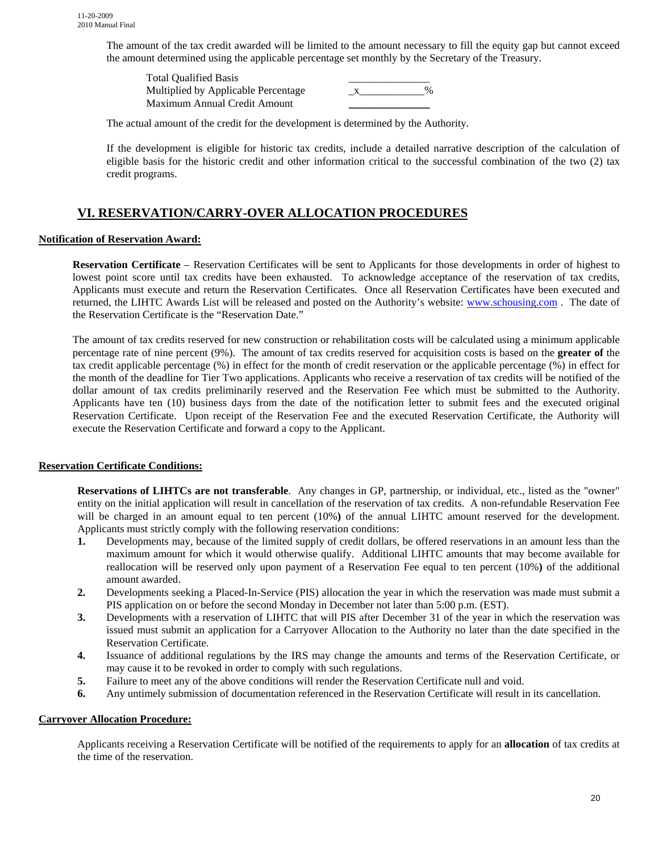The amount of the tax credit awarded will be limited to the amount necessary to fill the equity gap but cannot exceed the amount determined using the applicable percentage set monthly by the Secretary of the Treasury.

 Total Qualified Basis \_\_\_\_\_\_\_\_\_\_\_\_\_\_\_ Multiplied by Applicable Percentage  $x \rightarrow 0$ Maximum Annual Credit Amount \_\_\_\_\_\_\_\_\_\_\_\_\_\_\_

The actual amount of the credit for the development is determined by the Authority.

If the development is eligible for historic tax credits, include a detailed narrative description of the calculation of eligible basis for the historic credit and other information critical to the successful combination of the two (2) tax credit programs.

## **VI. RESERVATION/CARRY-OVER ALLOCATION PROCEDURES**

## **Notification of Reservation Award:**

**Reservation Certificate** – Reservation Certificates will be sent to Applicants for those developments in order of highest to lowest point score until tax credits have been exhausted. To acknowledge acceptance of the reservation of tax credits, Applicants must execute and return the Reservation Certificates. Once all Reservation Certificates have been executed and returned, the LIHTC Awards List will be released and posted on the Authority's website: [www.schousing.com](http://www.schousing.com/). The date of the Reservation Certificate is the "Reservation Date."

The amount of tax credits reserved for new construction or rehabilitation costs will be calculated using a minimum applicable percentage rate of nine percent (9%). The amount of tax credits reserved for acquisition costs is based on the **greater of** the tax credit applicable percentage (%) in effect for the month of credit reservation or the applicable percentage (%) in effect for the month of the deadline for Tier Two applications. Applicants who receive a reservation of tax credits will be notified of the dollar amount of tax credits preliminarily reserved and the Reservation Fee which must be submitted to the Authority. Applicants have ten (10) business days from the date of the notification letter to submit fees and the executed original Reservation Certificate. Upon receipt of the Reservation Fee and the executed Reservation Certificate, the Authority will execute the Reservation Certificate and forward a copy to the Applicant.

## **Reservation Certificate Conditions:**

**Reservations of LIHTCs are not transferable**. Any changes in GP, partnership, or individual, etc., listed as the "owner" entity on the initial application will result in cancellation of the reservation of tax credits. A non-refundable Reservation Fee will be charged in an amount equal to ten percent (10%) of the annual LIHTC amount reserved for the development. Applicants must strictly comply with the following reservation conditions:

- **1.** Developments may, because of the limited supply of credit dollars, be offered reservations in an amount less than the maximum amount for which it would otherwise qualify. Additional LIHTC amounts that may become available for reallocation will be reserved only upon payment of a Reservation Fee equal to ten percent (10%**)** of the additional amount awarded.
- **2.** Developments seeking a Placed-In-Service (PIS) allocation the year in which the reservation was made must submit a PIS application on or before the second Monday in December not later than 5:00 p.m. (EST).
- **3.** Developments with a reservation of LIHTC that will PIS after December 31 of the year in which the reservation was issued must submit an application for a Carryover Allocation to the Authority no later than the date specified in the Reservation Certificate.
- **4.** Issuance of additional regulations by the IRS may change the amounts and terms of the Reservation Certificate, or may cause it to be revoked in order to comply with such regulations.
- **5.** Failure to meet any of the above conditions will render the Reservation Certificate null and void.
- **6.** Any untimely submission of documentation referenced in the Reservation Certificate will result in its cancellation.

#### **Carryover Allocation Procedure:**

Applicants receiving a Reservation Certificate will be notified of the requirements to apply for an **allocation** of tax credits at the time of the reservation.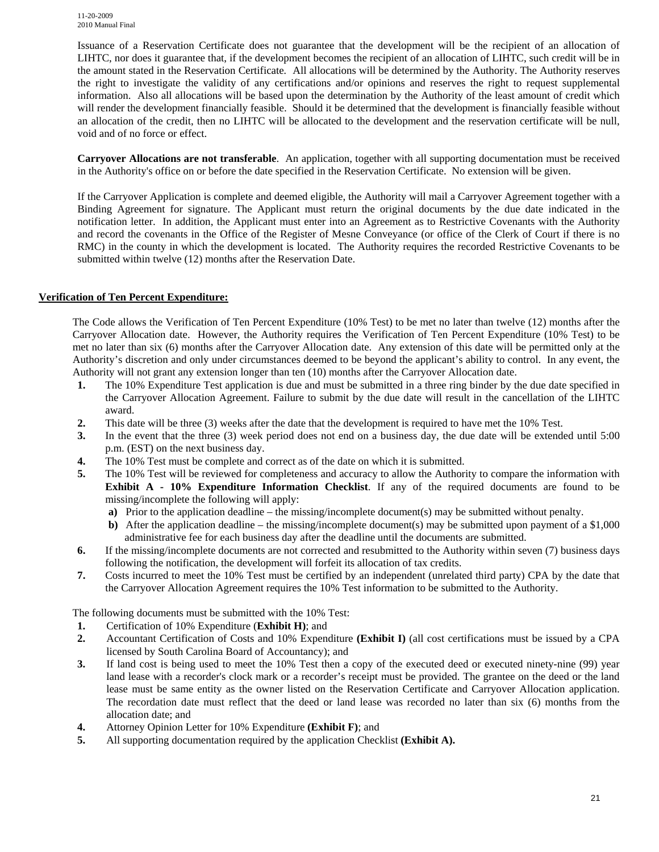11-20-2009 2010 Manual Final

Issuance of a Reservation Certificate does not guarantee that the development will be the recipient of an allocation of LIHTC, nor does it guarantee that, if the development becomes the recipient of an allocation of LIHTC, such credit will be in the amount stated in the Reservation Certificate*.* All allocations will be determined by the Authority. The Authority reserves the right to investigate the validity of any certifications and/or opinions and reserves the right to request supplemental information. Also all allocations will be based upon the determination by the Authority of the least amount of credit which will render the development financially feasible. Should it be determined that the development is financially feasible without an allocation of the credit, then no LIHTC will be allocated to the development and the reservation certificate will be null, void and of no force or effect.

**Carryover Allocations are not transferable**. An application, together with all supporting documentation must be received in the Authority's office on or before the date specified in the Reservation Certificate. No extension will be given.

If the Carryover Application is complete and deemed eligible, the Authority will mail a Carryover Agreement together with a Binding Agreement for signature. The Applicant must return the original documents by the due date indicated in the notification letter. In addition, the Applicant must enter into an Agreement as to Restrictive Covenants with the Authority and record the covenants in the Office of the Register of Mesne Conveyance (or office of the Clerk of Court if there is no RMC) in the county in which the development is located. The Authority requires the recorded Restrictive Covenants to be submitted within twelve (12) months after the Reservation Date.

## **Verification of Ten Percent Expenditure:**

The Code allows the Verification of Ten Percent Expenditure (10% Test) to be met no later than twelve (12) months after the Carryover Allocation date. However, the Authority requires the Verification of Ten Percent Expenditure (10% Test) to be met no later than six (6) months after the Carryover Allocation date.Any extension of this date will be permitted only at the Authority's discretion and only under circumstances deemed to be beyond the applicant's ability to control. In any event, the Authority will not grant any extension longer than ten (10) months after the Carryover Allocation date.

- **1.** The 10% Expenditure Test application is due and must be submitted in a three ring binder by the due date specified in the Carryover Allocation Agreement. Failure to submit by the due date will result in the cancellation of the LIHTC award.
- **2.** This date will be three (3) weeks after the date that the development is required to have met the 10% Test.
- **3.** In the event that the three (3) week period does not end on a business day, the due date will be extended until 5:00 p.m. (EST) on the next business day.
- **4.** The 10% Test must be complete and correct as of the date on which it is submitted.
- **5.** The 10% Test will be reviewed for completeness and accuracy to allow the Authority to compare the information with **Exhibit A - 10% Expenditure Information Checklist**. If any of the required documents are found to be missing/incomplete the following will apply:
	- **a)** Prior to the application deadline the missing/incomplete document(s) may be submitted without penalty.
	- **b**) After the application deadline the missing/incomplete document(s) may be submitted upon payment of a \$1,000 administrative fee for each business day after the deadline until the documents are submitted.
- **6.** If the missing/incomplete documents are not corrected and resubmitted to the Authority within seven (7) business days following the notification, the development will forfeit its allocation of tax credits.
- **7.** Costs incurred to meet the 10% Test must be certified by an independent (unrelated third party) CPA by the date that the Carryover Allocation Agreement requires the 10% Test information to be submitted to the Authority.

The following documents must be submitted with the 10% Test:

- **1.** Certification of 10% Expenditure (**Exhibit H)**; and
- **2.** Accountant Certification of Costs and 10% Expenditure **(Exhibit I)** (all cost certifications must be issued by a CPA licensed by South Carolina Board of Accountancy); and
- **3.** If land cost is being used to meet the 10% Test then a copy of the executed deed or executed ninety-nine (99) year land lease with a recorder's clock mark or a recorder's receipt must be provided. The grantee on the deed or the land lease must be same entity as the owner listed on the Reservation Certificate and Carryover Allocation application. The recordation date must reflect that the deed or land lease was recorded no later than six (6) months from the allocation date; and
- **4.** Attorney Opinion Letter for 10% Expenditure **(Exhibit F)**; and
- **5.** All supporting documentation required by the application Checklist **(Exhibit A).**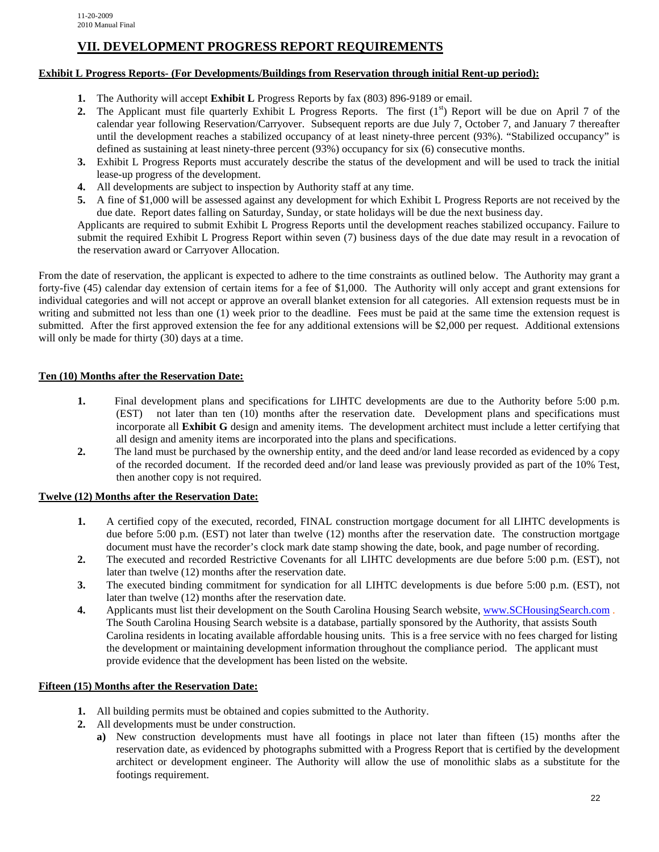## **VII. DEVELOPMENT PROGRESS REPORT REQUIREMENTS**

## **Exhibit L Progress Reports- (For Developments/Buildings from Reservation through initial Rent-up period):**

- **1.** The Authority will accept **Exhibit L** Progress Reports by fax (803) 896-9189 or email.
- **2.** The Applicant must file quarterly Exhibit L Progress Reports. The first  $(1^{st})$  Report will be due on April 7 of the calendar year following Reservation/Carryover. Subsequent reports are due July 7, October 7, and January 7 thereafter until the development reaches a stabilized occupancy of at least ninety-three percent (93%). "Stabilized occupancy" is defined as sustaining at least ninety-three percent (93%) occupancy for six (6) consecutive months.
- **3.** Exhibit L Progress Reports must accurately describe the status of the development and will be used to track the initial lease-up progress of the development.
- **4.** All developments are subject to inspection by Authority staff at any time.
- **5.** A fine of \$1,000 will be assessed against any development for which Exhibit L Progress Reports are not received by the due date. Report dates falling on Saturday, Sunday, or state holidays will be due the next business day.

Applicants are required to submit Exhibit L Progress Reports until the development reaches stabilized occupancy. Failure to submit the required Exhibit L Progress Report within seven (7) business days of the due date may result in a revocation of the reservation award or Carryover Allocation.

From the date of reservation, the applicant is expected to adhere to the time constraints as outlined below. The Authority may grant a forty-five (45) calendar day extension of certain items for a fee of \$1,000. The Authority will only accept and grant extensions for individual categories and will not accept or approve an overall blanket extension for all categories. All extension requests must be in writing and submitted not less than one (1) week prior to the deadline. Fees must be paid at the same time the extension request is submitted. After the first approved extension the fee for any additional extensions will be \$2,000 per request. Additional extensions will only be made for thirty (30) days at a time.

## **Ten (10) Months after the Reservation Date:**

- **1.** Final development plans and specifications for LIHTC developments are due to the Authority before 5:00 p.m. (EST) not later than ten (10) months after the reservation date. Development plans and specifications must incorporate all **Exhibit G** design and amenity items. The development architect must include a letter certifying that all design and amenity items are incorporated into the plans and specifications.
- **2.** The land must be purchased by the ownership entity, and the deed and/or land lease recorded as evidenced by a copy of the recorded document. If the recorded deed and/or land lease was previously provided as part of the 10% Test, then another copy is not required.

## **Twelve (12) Months after the Reservation Date:**

- **1.** A certified copy of the executed, recorded, FINAL construction mortgage document for all LIHTC developments is due before 5:00 p.m. (EST) not later than twelve (12) months after the reservation date. The construction mortgage document must have the recorder's clock mark date stamp showing the date, book, and page number of recording.
- **2.** The executed and recorded Restrictive Covenants for all LIHTC developments are due before 5:00 p.m. (EST), not later than twelve (12) months after the reservation date.
- **3.** The executed binding commitment for syndication for all LIHTC developments is due before 5:00 p.m. (EST), not later than twelve (12) months after the reservation date.
- **4.** Applicants must list their development on the South Carolina Housing Search website, [www.SCHousingSearch.com](http://www.schousingsearch.com/) . The South Carolina Housing Search website is a database, partially sponsored by the Authority, that assists South Carolina residents in locating available affordable housing units. This is a free service with no fees charged for listing the development or maintaining development information throughout the compliance period. The applicant must provide evidence that the development has been listed on the website.

## **Fifteen (15) Months after the Reservation Date:**

- **1.** All building permits must be obtained and copies submitted to the Authority.
- **2.** All developments must be under construction.
	- **a)** New construction developments must have all footings in place not later than fifteen (15) months after the reservation date, as evidenced by photographs submitted with a Progress Report that is certified by the development architect or development engineer. The Authority will allow the use of monolithic slabs as a substitute for the footings requirement.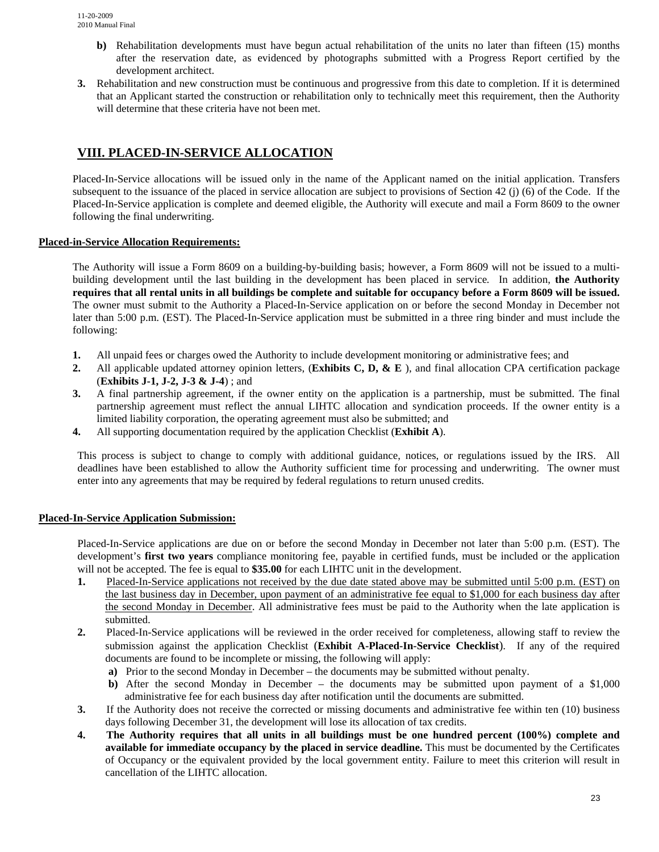- **b**) Rehabilitation developments must have begun actual rehabilitation of the units no later than fifteen (15) months after the reservation date, as evidenced by photographs submitted with a Progress Report certified by the development architect.
- **3.** Rehabilitation and new construction must be continuous and progressive from this date to completion. If it is determined that an Applicant started the construction or rehabilitation only to technically meet this requirement, then the Authority will determine that these criteria have not been met.

## **VIII. PLACED-IN-SERVICE ALLOCATION**

Placed-In-Service allocations will be issued only in the name of the Applicant named on the initial application. Transfers subsequent to the issuance of the placed in service allocation are subject to provisions of Section 42 (j) (6) of the Code. If the Placed-In-Service application is complete and deemed eligible, the Authority will execute and mail a Form 8609 to the owner following the final underwriting.

## **Placed-in-Service Allocation Requirements:**

The Authority will issue a Form 8609 on a building-by-building basis; however, a Form 8609 will not be issued to a multibuilding development until the last building in the development has been placed in service*.* In addition, **the Authority requires that all rental units in all buildings be complete and suitable for occupancy before a Form 8609 will be issued.** The owner must submit to the Authority a Placed-In-Service application on or before the second Monday in December not later than 5:00 p.m. (EST). The Placed-In-Service application must be submitted in a three ring binder and must include the following:

- **1.** All unpaid fees or charges owed the Authority to include development monitoring or administrative fees; and
- **2.** All applicable updated attorney opinion letters, (**Exhibits C, D, & E** ), and final allocation CPA certification package (**Exhibits J-1, J-2, J-3 & J-4**) ; and
- **3.** A final partnership agreement, if the owner entity on the application is a partnership, must be submitted. The final partnership agreement must reflect the annual LIHTC allocation and syndication proceeds. If the owner entity is a limited liability corporation, the operating agreement must also be submitted; and
- **4.** All supporting documentation required by the application Checklist (**Exhibit A**).

This process is subject to change to comply with additional guidance, notices, or regulations issued by the IRS. All deadlines have been established to allow the Authority sufficient time for processing and underwriting. The owner must enter into any agreements that may be required by federal regulations to return unused credits.

## **Placed-In-Service Application Submission:**

Placed-In-Service applications are due on or before the second Monday in December not later than 5:00 p.m. (EST). The development's **first two years** compliance monitoring fee, payable in certified funds, must be included or the application will not be accepted. The fee is equal to  $$35.00$  for each LIHTC unit in the development.

- **1.** Placed-In-Service applications not received by the due date stated above may be submitted until 5:00 p.m. (EST) on the last business day in December, upon payment of an administrative fee equal to \$1,000 for each business day after the second Monday in December. All administrative fees must be paid to the Authority when the late application is submitted.
- **2.** Placed-In-Service applications will be reviewed in the order received for completeness, allowing staff to review the submission against the application Checklist (**Exhibit A-Placed-In-Service Checklist**). If any of the required documents are found to be incomplete or missing, the following will apply:
	- **a)** Prior to the second Monday in December the documents may be submitted without penalty.
	- **b)** After the second Monday in December the documents may be submitted upon payment of a \$1,000 administrative fee for each business day after notification until the documents are submitted.
- **3.** If the Authority does not receive the corrected or missing documents and administrative fee within ten (10) business days following December 31, the development will lose its allocation of tax credits.
- **4. The Authority requires that all units in all buildings must be one hundred percent (100%) complete and available for immediate occupancy by the placed in service deadline.** This must be documented by the Certificates of Occupancy or the equivalent provided by the local government entity. Failure to meet this criterion will result in cancellation of the LIHTC allocation.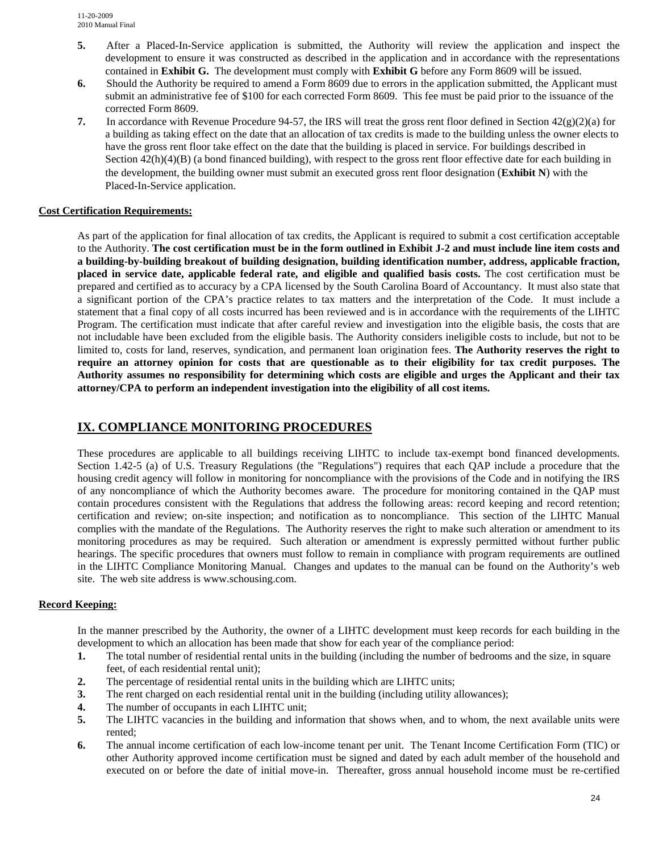- **5.** After a Placed-In-Service application is submitted, the Authority will review the application and inspect the development to ensure it was constructed as described in the application and in accordance with the representations contained in **Exhibit G.** The development must comply with **Exhibit G** before any Form 8609 will be issued.
- **6.** Should the Authority be required to amend a Form 8609 due to errors in the application submitted, the Applicant must submit an administrative fee of \$100 for each corrected Form 8609. This fee must be paid prior to the issuance of the corrected Form 8609.
- **7.** In accordance with Revenue Procedure 94-57, the IRS will treat the gross rent floor defined in Section  $42(g)(2)(a)$  for a building as taking effect on the date that an allocation of tax credits is made to the building unless the owner elects to have the gross rent floor take effect on the date that the building is placed in service. For buildings described in Section  $42(h)(4)(B)$  (a bond financed building), with respect to the gross rent floor effective date for each building in the development, the building owner must submit an executed gross rent floor designation (**Exhibit N**) with the Placed-In-Service application.

## **Cost Certification Requirements:**

As part of the application for final allocation of tax credits, the Applicant is required to submit a cost certification acceptable to the Authority. **The cost certification must be in the form outlined in Exhibit J-2 and must include line item costs and a building-by-building breakout of building designation, building identification number, address, applicable fraction, placed in service date, applicable federal rate, and eligible and qualified basis costs.** The cost certification must be prepared and certified as to accuracy by a CPA licensed by the South Carolina Board of Accountancy. It must also state that a significant portion of the CPA's practice relates to tax matters and the interpretation of the Code. It must include a statement that a final copy of all costs incurred has been reviewed and is in accordance with the requirements of the LIHTC Program. The certification must indicate that after careful review and investigation into the eligible basis, the costs that are not includable have been excluded from the eligible basis. The Authority considers ineligible costs to include, but not to be limited to, costs for land, reserves, syndication, and permanent loan origination fees. **The Authority reserves the right to require an attorney opinion for costs that are questionable as to their eligibility for tax credit purposes. The Authority assumes no responsibility for determining which costs are eligible and urges the Applicant and their tax attorney/CPA to perform an independent investigation into the eligibility of all cost items.**

## **IX. COMPLIANCE MONITORING PROCEDURES**

These procedures are applicable to all buildings receiving LIHTC to include tax-exempt bond financed developments. Section 1.42-5 (a) of U.S. Treasury Regulations (the "Regulations") requires that each QAP include a procedure that the housing credit agency will follow in monitoring for noncompliance with the provisions of the Code and in notifying the IRS of any noncompliance of which the Authority becomes aware. The procedure for monitoring contained in the QAP must contain procedures consistent with the Regulations that address the following areas: record keeping and record retention; certification and review; on-site inspection; and notification as to noncompliance. This section of the LIHTC Manual complies with the mandate of the Regulations. The Authority reserves the right to make such alteration or amendment to its monitoring procedures as may be required. Such alteration or amendment is expressly permitted without further public hearings. The specific procedures that owners must follow to remain in compliance with program requirements are outlined in the LIHTC Compliance Monitoring Manual. Changes and updates to the manual can be found on the Authority's web site. The web site address is www.schousing.com.

## **Record Keeping:**

In the manner prescribed by the Authority, the owner of a LIHTC development must keep records for each building in the development to which an allocation has been made that show for each year of the compliance period:

- **1.** The total number of residential rental units in the building (including the number of bedrooms and the size, in square feet, of each residential rental unit);
- **2.** The percentage of residential rental units in the building which are LIHTC units;
- **3.** The rent charged on each residential rental unit in the building (including utility allowances);
- **4.** The number of occupants in each LIHTC unit;
- **5.** The LIHTC vacancies in the building and information that shows when, and to whom, the next available units were rented;
- **6.** The annual income certification of each low-income tenant per unit. The Tenant Income Certification Form (TIC) or other Authority approved income certification must be signed and dated by each adult member of the household and executed on or before the date of initial move-in. Thereafter, gross annual household income must be re-certified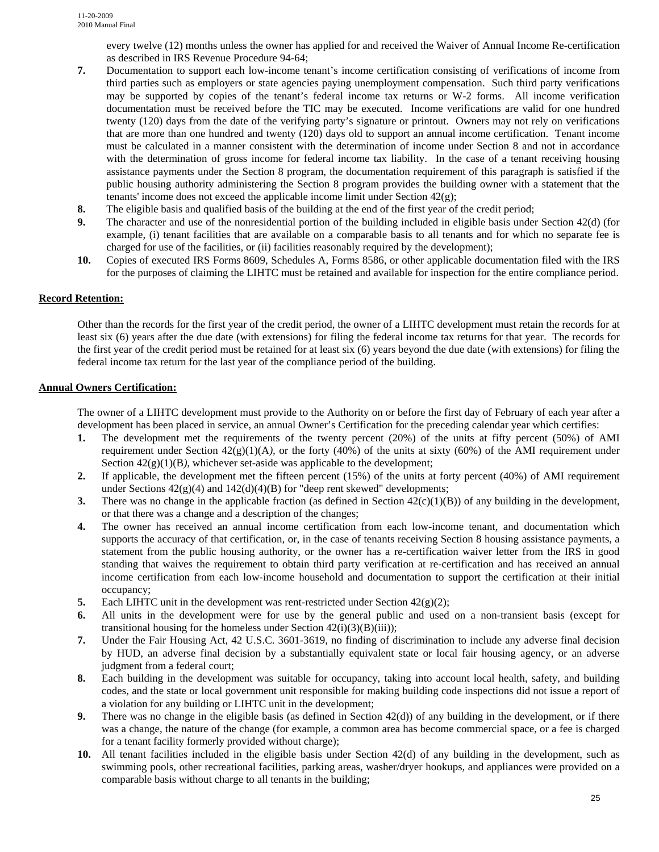every twelve (12) months unless the owner has applied for and received the Waiver of Annual Income Re-certification as described in IRS Revenue Procedure 94-64;

- **7.** Documentation to support each low-income tenant's income certification consisting of verifications of income from third parties such as employers or state agencies paying unemployment compensation. Such third party verifications may be supported by copies of the tenant's federal income tax returns or W-2 forms. All income verification documentation must be received before the TIC may be executed. Income verifications are valid for one hundred twenty (120) days from the date of the verifying party's signature or printout. Owners may not rely on verifications that are more than one hundred and twenty (120) days old to support an annual income certification. Tenant income must be calculated in a manner consistent with the determination of income under Section 8 and not in accordance with the determination of gross income for federal income tax liability. In the case of a tenant receiving housing assistance payments under the Section 8 program, the documentation requirement of this paragraph is satisfied if the public housing authority administering the Section 8 program provides the building owner with a statement that the tenants' income does not exceed the applicable income limit under Section  $42(g)$ ;
- **8.** The eligible basis and qualified basis of the building at the end of the first year of the credit period;
- **9.** The character and use of the nonresidential portion of the building included in eligible basis under Section 42(d) (for example, (i) tenant facilities that are available on a comparable basis to all tenants and for which no separate fee is charged for use of the facilities, or (ii) facilities reasonably required by the development);
- **10.** Copies of executed IRS Forms 8609, Schedules A, Forms 8586, or other applicable documentation filed with the IRS for the purposes of claiming the LIHTC must be retained and available for inspection for the entire compliance period.

#### **Record Retention:**

Other than the records for the first year of the credit period, the owner of a LIHTC development must retain the records for at least six (6) years after the due date (with extensions) for filing the federal income tax returns for that year. The records for the first year of the credit period must be retained for at least six (6) years beyond the due date (with extensions) for filing the federal income tax return for the last year of the compliance period of the building.

#### **Annual Owners Certification:**

The owner of a LIHTC development must provide to the Authority on or before the first day of February of each year after a development has been placed in service, an annual Owner's Certification for the preceding calendar year which certifies:

- **1.** The development met the requirements of the twenty percent (20%) of the units at fifty percent (50%) of AMI requirement under Section 42(g)(1)(A*),* or the forty (40%) of the units at sixty (60%) of the AMI requirement under Section  $42(g)(1)(B)$ , whichever set-aside was applicable to the development;
- **2.** If applicable, the development met the fifteen percent (15%) of the units at forty percent (40%) of AMI requirement under Sections  $42(g)(4)$  and  $142(d)(4)(B)$  for "deep rent skewed" developments;
- **3.** There was no change in the applicable fraction (as defined in Section  $42(c)(1)(B)$ ) of any building in the development, or that there was a change and a description of the changes;
- **4.** The owner has received an annual income certification from each low-income tenant, and documentation which supports the accuracy of that certification, or, in the case of tenants receiving Section 8 housing assistance payments, a statement from the public housing authority, or the owner has a re-certification waiver letter from the IRS in good standing that waives the requirement to obtain third party verification at re-certification and has received an annual income certification from each low-income household and documentation to support the certification at their initial occupancy;
- **5.** Each LIHTC unit in the development was rent-restricted under Section 42(g)(2);
- **6.** All units in the development were for use by the general public and used on a non-transient basis (except for transitional housing for the homeless under Section  $42(i)(3)(B)(iii)$ ;
- **7.** Under the Fair Housing Act, 42 U.S.C. 3601-3619, no finding of discrimination to include any adverse final decision by HUD, an adverse final decision by a substantially equivalent state or local fair housing agency, or an adverse judgment from a federal court;
- **8.** Each building in the development was suitable for occupancy, taking into account local health, safety, and building codes, and the state or local government unit responsible for making building code inspections did not issue a report of a violation for any building or LIHTC unit in the development;
- **9.** There was no change in the eligible basis (as defined in Section 42(d)) of any building in the development, or if there was a change, the nature of the change (for example, a common area has become commercial space, or a fee is charged for a tenant facility formerly provided without charge);
- **10.** All tenant facilities included in the eligible basis under Section 42(d) of any building in the development, such as swimming pools, other recreational facilities, parking areas, washer/dryer hookups, and appliances were provided on a comparable basis without charge to all tenants in the building;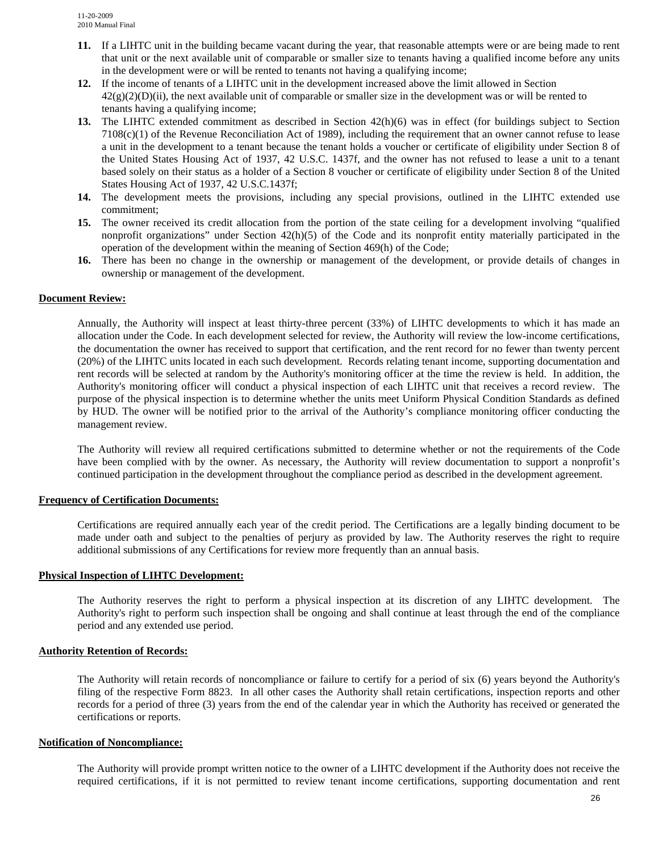- **11.** If a LIHTC unit in the building became vacant during the year, that reasonable attempts were or are being made to rent that unit or the next available unit of comparable or smaller size to tenants having a qualified income before any units in the development were or will be rented to tenants not having a qualifying income;
- **12.** If the income of tenants of a LIHTC unit in the development increased above the limit allowed in Section  $42(g)(2)(D)(ii)$ , the next available unit of comparable or smaller size in the development was or will be rented to tenants having a qualifying income;
- **13.** The LIHTC extended commitment as described in Section 42(h)(6) was in effect (for buildings subject to Section  $7108(c)(1)$  of the Revenue Reconciliation Act of 1989), including the requirement that an owner cannot refuse to lease a unit in the development to a tenant because the tenant holds a voucher or certificate of eligibility under Section 8 of the United States Housing Act of 1937, 42 U.S.C. 1437f, and the owner has not refused to lease a unit to a tenant based solely on their status as a holder of a Section 8 voucher or certificate of eligibility under Section 8 of the United States Housing Act of 1937, 42 U.S.C.1437f;
- **14.** The development meets the provisions, including any special provisions, outlined in the LIHTC extended use commitment;
- **15.** The owner received its credit allocation from the portion of the state ceiling for a development involving "qualified nonprofit organizations" under Section 42(h)(5) of the Code and its nonprofit entity materially participated in the operation of the development within the meaning of Section 469(h) of the Code;
- **16.** There has been no change in the ownership or management of the development, or provide details of changes in ownership or management of the development.

#### **Document Review:**

Annually, the Authority will inspect at least thirty-three percent (33%) of LIHTC developments to which it has made an allocation under the Code. In each development selected for review, the Authority will review the low-income certifications, the documentation the owner has received to support that certification, and the rent record for no fewer than twenty percent (20%) of the LIHTC units located in each such development. Records relating tenant income, supporting documentation and rent records will be selected at random by the Authority's monitoring officer at the time the review is held. In addition, the Authority's monitoring officer will conduct a physical inspection of each LIHTC unit that receives a record review. The purpose of the physical inspection is to determine whether the units meet Uniform Physical Condition Standards as defined by HUD. The owner will be notified prior to the arrival of the Authority's compliance monitoring officer conducting the management review.

The Authority will review all required certifications submitted to determine whether or not the requirements of the Code have been complied with by the owner. As necessary, the Authority will review documentation to support a nonprofit's continued participation in the development throughout the compliance period as described in the development agreement.

#### **Frequency of Certification Documents:**

Certifications are required annually each year of the credit period. The Certifications are a legally binding document to be made under oath and subject to the penalties of perjury as provided by law. The Authority reserves the right to require additional submissions of any Certifications for review more frequently than an annual basis.

#### **Physical Inspection of LIHTC Development:**

The Authority reserves the right to perform a physical inspection at its discretion of any LIHTC development. The Authority's right to perform such inspection shall be ongoing and shall continue at least through the end of the compliance period and any extended use period.

#### **Authority Retention of Records:**

The Authority will retain records of noncompliance or failure to certify for a period of six (6) years beyond the Authority's filing of the respective Form 8823. In all other cases the Authority shall retain certifications, inspection reports and other records for a period of three (3) years from the end of the calendar year in which the Authority has received or generated the certifications or reports.

#### **Notification of Noncompliance:**

The Authority will provide prompt written notice to the owner of a LIHTC development if the Authority does not receive the required certifications, if it is not permitted to review tenant income certifications, supporting documentation and rent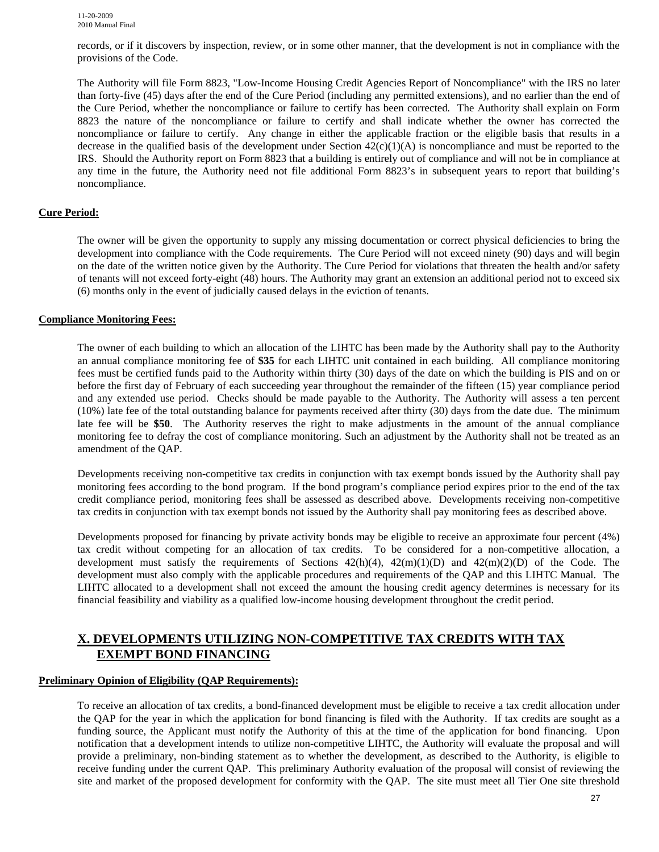11-20-2009 2010 Manual Final

records, or if it discovers by inspection, review, or in some other manner, that the development is not in compliance with the provisions of the Code.

The Authority will file Form 8823, "Low-Income Housing Credit Agencies Report of Noncompliance" with the IRS no later than forty-five (45) days after the end of the Cure Period (including any permitted extensions), and no earlier than the end of the Cure Period, whether the noncompliance or failure to certify has been corrected*.* The Authority shall explain on Form 8823 the nature of the noncompliance or failure to certify and shall indicate whether the owner has corrected the noncompliance or failure to certify. Any change in either the applicable fraction or the eligible basis that results in a decrease in the qualified basis of the development under Section  $42(c)(1)(A)$  is noncompliance and must be reported to the IRS. Should the Authority report on Form 8823 that a building is entirely out of compliance and will not be in compliance at any time in the future, the Authority need not file additional Form 8823's in subsequent years to report that building's noncompliance.

## **Cure Period:**

The owner will be given the opportunity to supply any missing documentation or correct physical deficiencies to bring the development into compliance with the Code requirements. The Cure Period will not exceed ninety (90) days and will begin on the date of the written notice given by the Authority. The Cure Period for violations that threaten the health and/or safety of tenants will not exceed forty-eight (48) hours. The Authority may grant an extension an additional period not to exceed six (6) months only in the event of judicially caused delays in the eviction of tenants.

#### **Compliance Monitoring Fees:**

The owner of each building to which an allocation of the LIHTC has been made by the Authority shall pay to the Authority an annual compliance monitoring fee of **\$35** for each LIHTC unit contained in each building. All compliance monitoring fees must be certified funds paid to the Authority within thirty (30) days of the date on which the building is PIS and on or before the first day of February of each succeeding year throughout the remainder of the fifteen (15) year compliance period and any extended use period. Checks should be made payable to the Authority. The Authority will assess a ten percent (10%) late fee of the total outstanding balance for payments received after thirty (30) days from the date due. The minimum late fee will be **\$50**. The Authority reserves the right to make adjustments in the amount of the annual compliance monitoring fee to defray the cost of compliance monitoring. Such an adjustment by the Authority shall not be treated as an amendment of the QAP.

Developments receiving non-competitive tax credits in conjunction with tax exempt bonds issued by the Authority shall pay monitoring fees according to the bond program. If the bond program's compliance period expires prior to the end of the tax credit compliance period, monitoring fees shall be assessed as described above. Developments receiving non-competitive tax credits in conjunction with tax exempt bonds not issued by the Authority shall pay monitoring fees as described above.

Developments proposed for financing by private activity bonds may be eligible to receive an approximate four percent (4%) tax credit without competing for an allocation of tax credits. To be considered for a non-competitive allocation, a development must satisfy the requirements of Sections  $42(h)(4)$ ,  $42(m)(1)(D)$  and  $42(m)(2)(D)$  of the Code. The development must also comply with the applicable procedures and requirements of the QAP and this LIHTC Manual. The LIHTC allocated to a development shall not exceed the amount the housing credit agency determines is necessary for its financial feasibility and viability as a qualified low-income housing development throughout the credit period.

## **X. DEVELOPMENTS UTILIZING NON-COMPETITIVE TAX CREDITS WITH TAX EXEMPT BOND FINANCING**

#### **Preliminary Opinion of Eligibility (QAP Requirements):**

To receive an allocation of tax credits, a bond-financed development must be eligible to receive a tax credit allocation under the QAP for the year in which the application for bond financing is filed with the Authority. If tax credits are sought as a funding source, the Applicant must notify the Authority of this at the time of the application for bond financing. Upon notification that a development intends to utilize non-competitive LIHTC, the Authority will evaluate the proposal and will provide a preliminary, non-binding statement as to whether the development, as described to the Authority, is eligible to receive funding under the current QAP. This preliminary Authority evaluation of the proposal will consist of reviewing the site and market of the proposed development for conformity with the QAP. The site must meet all Tier One site threshold